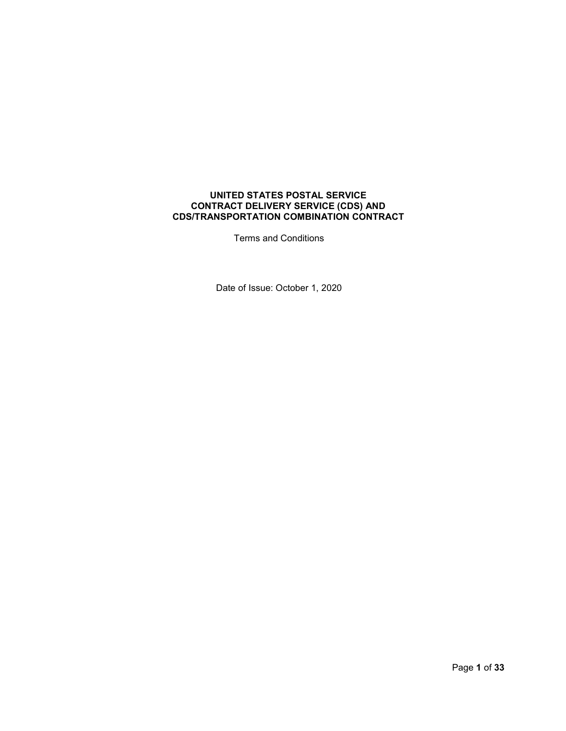## **UNITED STATES POSTAL SERVICE CONTRACT DELIVERY SERVICE (CDS) AND CDS/TRANSPORTATION COMBINATION CONTRACT**

Terms and Conditions

Date of Issue: October 1, 2020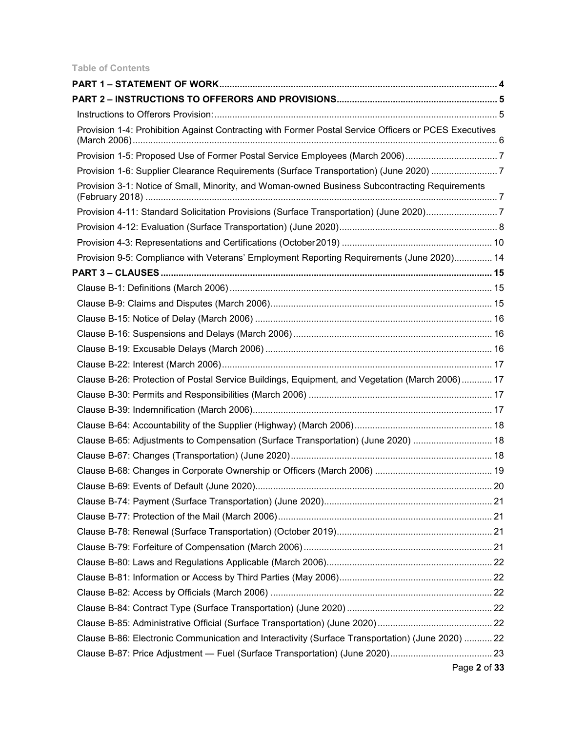# **Table of Contents**

| Provision 1-4: Prohibition Against Contracting with Former Postal Service Officers or PCES Executives |  |
|-------------------------------------------------------------------------------------------------------|--|
|                                                                                                       |  |
| Provision 1-6: Supplier Clearance Requirements (Surface Transportation) (June 2020) 7                 |  |
| Provision 3-1: Notice of Small, Minority, and Woman-owned Business Subcontracting Requirements        |  |
| Provision 4-11: Standard Solicitation Provisions (Surface Transportation) (June 2020)7                |  |
|                                                                                                       |  |
|                                                                                                       |  |
| Provision 9-5: Compliance with Veterans' Employment Reporting Requirements (June 2020) 14             |  |
|                                                                                                       |  |
|                                                                                                       |  |
|                                                                                                       |  |
|                                                                                                       |  |
|                                                                                                       |  |
|                                                                                                       |  |
|                                                                                                       |  |
| Clause B-26: Protection of Postal Service Buildings, Equipment, and Vegetation (March 2006) 17        |  |
|                                                                                                       |  |
|                                                                                                       |  |
|                                                                                                       |  |
| Clause B-65: Adjustments to Compensation (Surface Transportation) (June 2020)  18                     |  |
|                                                                                                       |  |
|                                                                                                       |  |
|                                                                                                       |  |
|                                                                                                       |  |
|                                                                                                       |  |
|                                                                                                       |  |
|                                                                                                       |  |
|                                                                                                       |  |
|                                                                                                       |  |
|                                                                                                       |  |
|                                                                                                       |  |
|                                                                                                       |  |
| Clause B-86: Electronic Communication and Interactivity (Surface Transportation) (June 2020)  22      |  |
|                                                                                                       |  |
| Page 2 of 33                                                                                          |  |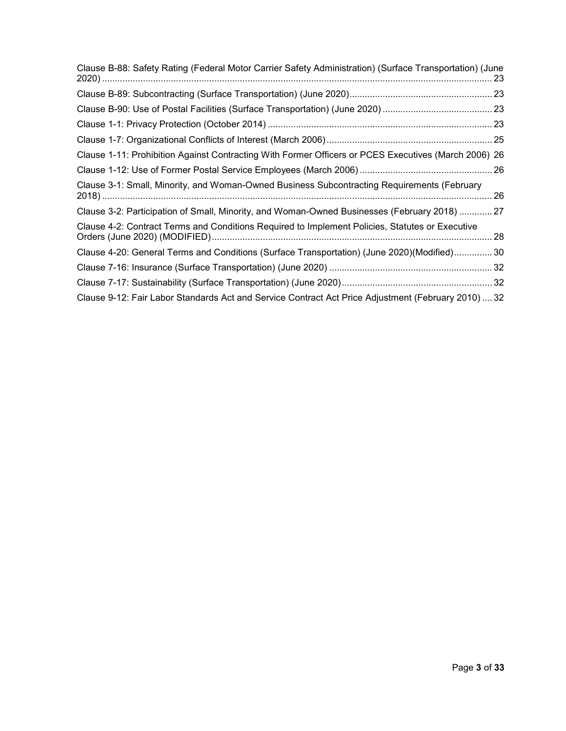| Clause B-88: Safety Rating (Federal Motor Carrier Safety Administration) (Surface Transportation) (June |  |
|---------------------------------------------------------------------------------------------------------|--|
|                                                                                                         |  |
|                                                                                                         |  |
|                                                                                                         |  |
|                                                                                                         |  |
| Clause 1-11: Prohibition Against Contracting With Former Officers or PCES Executives (March 2006) 26    |  |
|                                                                                                         |  |
| Clause 3-1: Small, Minority, and Woman-Owned Business Subcontracting Requirements (February             |  |
| Clause 3-2: Participation of Small, Minority, and Woman-Owned Businesses (February 2018)  27            |  |
| Clause 4-2: Contract Terms and Conditions Required to Implement Policies, Statutes or Executive         |  |
| Clause 4-20: General Terms and Conditions (Surface Transportation) (June 2020)(Modified) 30             |  |
|                                                                                                         |  |
|                                                                                                         |  |
| Clause 9-12: Fair Labor Standards Act and Service Contract Act Price Adjustment (February 2010) 32      |  |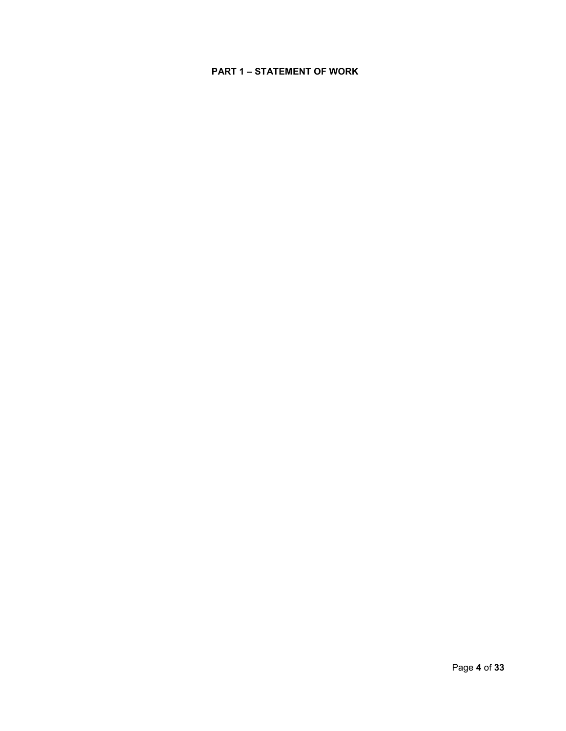# **PART 1 – STATEMENT OF WORK**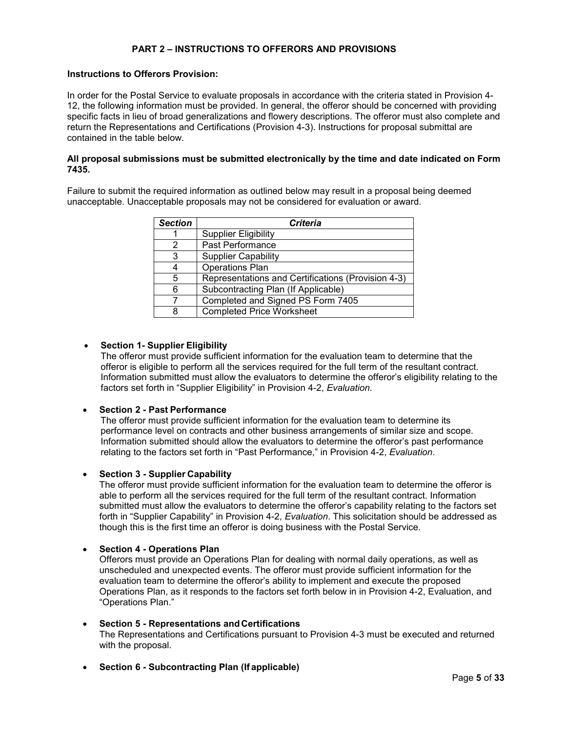# **PART 2 – INSTRUCTIONS TO OFFERORS AND PROVISIONS**

#### **Instructions to Offerors Provision:**

In order for the Postal Service to evaluate proposals in accordance with the criteria stated in Provision 4- 12, the following information must be provided. In general, the offeror should be concerned with providing specific facts in lieu of broad generalizations and flowery descriptions. The offeror must also complete and return the Representations and Certifications (Provision 4-3). Instructions for proposal submittal are contained in the table below.

#### **All proposal submissions must be submitted electronically by the time and date indicated on Form 7435.**

Failure to submit the required information as outlined below may result in a proposal being deemed unacceptable. Unacceptable proposals may not be considered for evaluation or award.

| <b>Section</b> | <b>Criteria</b>                                    |
|----------------|----------------------------------------------------|
|                | <b>Supplier Eligibility</b>                        |
| 2              | Past Performance                                   |
| 3              | <b>Supplier Capability</b>                         |
| 4              | <b>Operations Plan</b>                             |
| 5              | Representations and Certifications (Provision 4-3) |
| 6              | Subcontracting Plan (If Applicable)                |
|                | Completed and Signed PS Form 7405                  |
| 8              | <b>Completed Price Worksheet</b>                   |

# x **Section 1- Supplier Eligibility**

The offeror must provide sufficient information for the evaluation team to determine that the offeror is eligible to perform all the services required for the full term of the resultant contract. Information submitted must allow the evaluators to determine the offeror's eligibility relating to the factors set forth in "Supplier Eligibility" in Provision 4-2, *Evaluation*.

### x **Section 2 - Past Performance**

The offeror must provide sufficient information for the evaluation team to determine its performance level on contracts and other business arrangements of similar size and scope. Information submitted should allow the evaluators to determine the offeror's past performance relating to the factors set forth in "Past Performance," in Provision 4-2, *Evaluation*.

### x **Section 3 - Supplier Capability**

The offeror must provide sufficient information for the evaluation team to determine the offeror is able to perform all the services required for the full term of the resultant contract. Information submitted must allow the evaluators to determine the offeror's capability relating to the factors set forth in "Supplier Capability" in Provision 4-2, *Evaluation*. This solicitation should be addressed as though this is the first time an offeror is doing business with the Postal Service.

### **Section 4 - Operations Plan**

Offerors must provide an Operations Plan for dealing with normal daily operations, as well as unscheduled and unexpected events. The offeror must provide sufficient information for the evaluation team to determine the offeror's ability to implement and execute the proposed Operations Plan, as it responds to the factors set forth below in in Provision 4-2, Evaluation, and "Operations Plan."

- x **Section 5 Representations andCertifications** The Representations and Certifications pursuant to Provision 4-3 must be executed and returned with the proposal.
- **Section 6 Subcontracting Plan (If applicable)**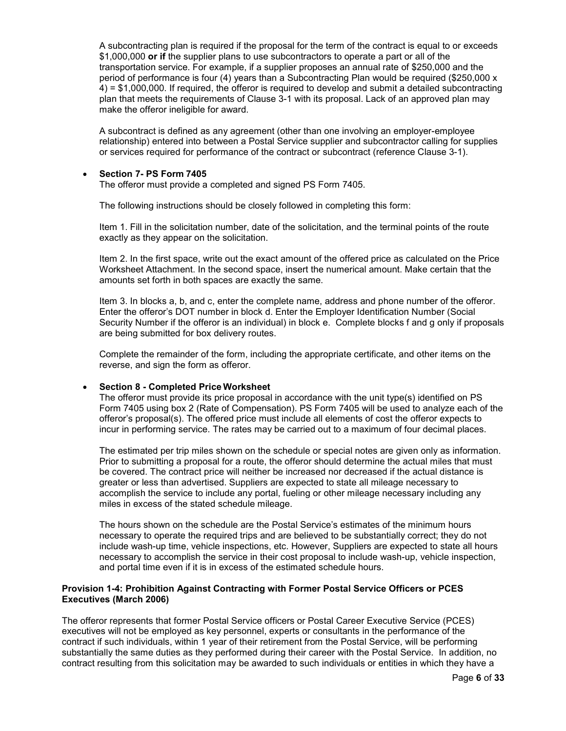A subcontracting plan is required if the proposal for the term of the contract is equal to or exceeds \$1,000,000 **or if** the supplier plans to use subcontractors to operate a part or all of the transportation service. For example, if a supplier proposes an annual rate of \$250,000 and the period of performance is four (4) years than a Subcontracting Plan would be required (\$250,000 x 4) = \$1,000,000. If required, the offeror is required to develop and submit a detailed subcontracting plan that meets the requirements of Clause 3-1 with its proposal. Lack of an approved plan may make the offeror ineligible for award.

A subcontract is defined as any agreement (other than one involving an employer-employee relationship) entered into between a Postal Service supplier and subcontractor calling for supplies or services required for performance of the contract or subcontract (reference Clause 3-1).

#### x **Section 7- PS Form 7405**

The offeror must provide a completed and signed PS Form 7405.

The following instructions should be closely followed in completing this form:

Item 1. Fill in the solicitation number, date of the solicitation, and the terminal points of the route exactly as they appear on the solicitation.

Item 2. In the first space, write out the exact amount of the offered price as calculated on the Price Worksheet Attachment. In the second space, insert the numerical amount. Make certain that the amounts set forth in both spaces are exactly the same.

Item 3. In blocks a, b, and c, enter the complete name, address and phone number of the offeror. Enter the offeror's DOT number in block d. Enter the Employer Identification Number (Social Security Number if the offeror is an individual) in block e. Complete blocks f and g only if proposals are being submitted for box delivery routes.

Complete the remainder of the form, including the appropriate certificate, and other items on the reverse, and sign the form as offeror.

### x **Section 8 - Completed Price Worksheet**

The offeror must provide its price proposal in accordance with the unit type(s) identified on PS Form 7405 using box 2 (Rate of Compensation). PS Form 7405 will be used to analyze each of the offeror's proposal(s). The offered price must include all elements of cost the offeror expects to incur in performing service. The rates may be carried out to a maximum of four decimal places.

The estimated per trip miles shown on the schedule or special notes are given only as information. Prior to submitting a proposal for a route, the offeror should determine the actual miles that must be covered. The contract price will neither be increased nor decreased if the actual distance is greater or less than advertised. Suppliers are expected to state all mileage necessary to accomplish the service to include any portal, fueling or other mileage necessary including any miles in excess of the stated schedule mileage.

The hours shown on the schedule are the Postal Service's estimates of the minimum hours necessary to operate the required trips and are believed to be substantially correct; they do not include wash-up time, vehicle inspections, etc. However, Suppliers are expected to state all hours necessary to accomplish the service in their cost proposal to include wash-up, vehicle inspection, and portal time even if it is in excess of the estimated schedule hours.

### **Provision 1-4: Prohibition Against Contracting with Former Postal Service Officers or PCES Executives (March 2006)**

The offeror represents that former Postal Service officers or Postal Career Executive Service (PCES) executives will not be employed as key personnel, experts or consultants in the performance of the contract if such individuals, within 1 year of their retirement from the Postal Service, will be performing substantially the same duties as they performed during their career with the Postal Service. In addition, no contract resulting from this solicitation may be awarded to such individuals or entities in which they have a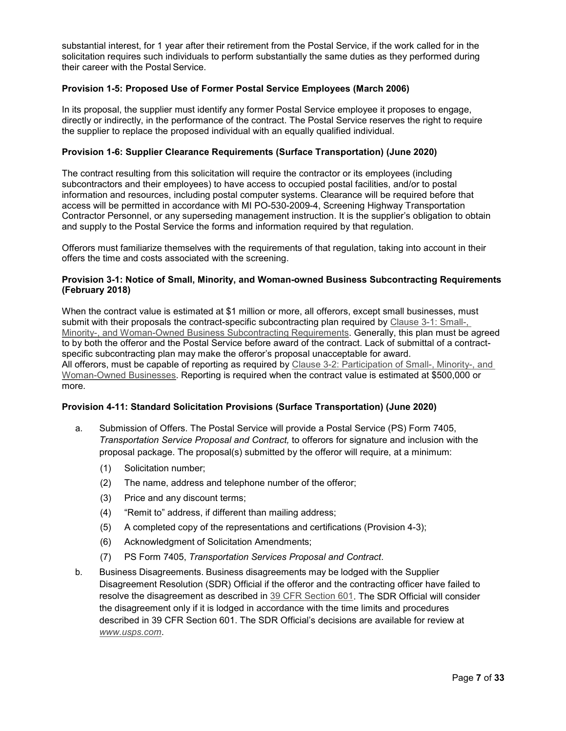substantial interest, for 1 year after their retirement from the Postal Service, if the work called for in the solicitation requires such individuals to perform substantially the same duties as they performed during their career with the Postal Service.

# **Provision 1-5: Proposed Use of Former Postal Service Employees (March 2006)**

In its proposal, the supplier must identify any former Postal Service employee it proposes to engage, directly or indirectly, in the performance of the contract. The Postal Service reserves the right to require the supplier to replace the proposed individual with an equally qualified individual.

## **Provision 1-6: Supplier Clearance Requirements (Surface Transportation) (June 2020)**

The contract resulting from this solicitation will require the contractor or its employees (including subcontractors and their employees) to have access to occupied postal facilities, and/or to postal information and resources, including postal computer systems. Clearance will be required before that access will be permitted in accordance with MI PO-530-2009-4, Screening Highway Transportation Contractor Personnel, or any superseding management instruction. It is the supplier's obligation to obtain and supply to the Postal Service the forms and information required by that regulation.

Offerors must familiarize themselves with the requirements of that regulation, taking into account in their offers the time and costs associated with the screening.

### **Provision 3-1: Notice of Small, Minority, and Woman-owned Business Subcontracting Requirements (February 2018)**

When the contract value is estimated at \$1 million or more, all offerors, except small businesses, must submit with their proposals the contract-specific subcontracting plan required by Clause 3-1: Small-, Minority-, and Woman-Owned Business Subcontracting Requirements. Generally, this plan must be agreed to by both the offeror and the Postal Service before award of the contract. Lack of submittal of a contractspecific subcontracting plan may make the offeror's proposal unacceptable for award. All offerors, must be capable of reporting as required by Clause 3-2: Participation of Small-, Minority-, and Woman-Owned Businesses. Reporting is required when the contract value is estimated at \$500,000 or more.

### **Provision 4-11: Standard Solicitation Provisions (Surface Transportation) (June 2020)**

- a. Submission of Offers. The Postal Service will provide a Postal Service (PS) Form 7405, *Transportation Service Proposal and Contract,* to offerors for signature and inclusion with the proposal package. The proposal(s) submitted by the offeror will require, at a minimum:
	- (1) Solicitation number;
	- (2) The name, address and telephone number of the offeror;
	- (3) Price and any discount terms;
	- (4) "Remit to" address, if different than mailing address;
	- (5) A completed copy of the representations and certifications (Provision 4-3);
	- (6) Acknowledgment of Solicitation Amendments;
	- (7) PS Form 7405, *Transportation Services Proposal and Contract*.
- b. Business Disagreements. Business disagreements may be lodged with the Supplier Disagreement Resolution (SDR) Official if the offeror and the contracting officer have failed to resolve the disagreement as described in 39 CFR Section 601. The SDR Official will consider the disagreement only if it is lodged in accordance with the time limits and procedures described in 39 CFR Section 601. The SDR Official's decisions are available for review at *www.usps.com*.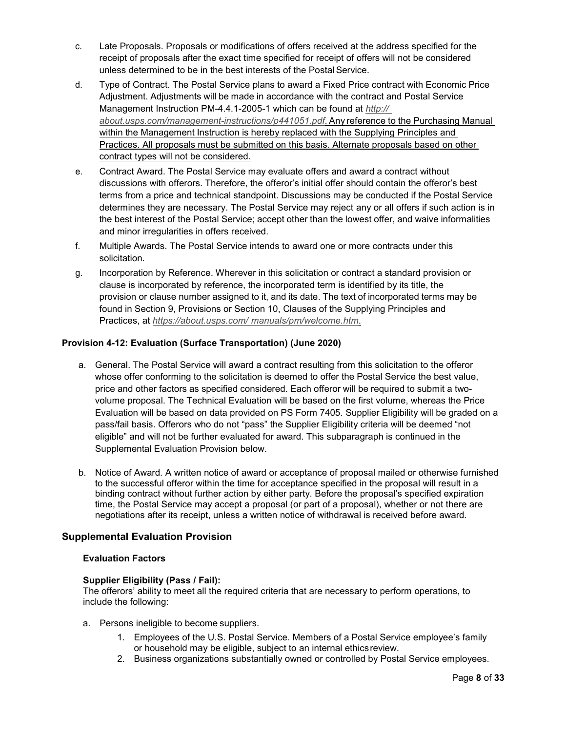- c. Late Proposals. Proposals or modifications of offers received at the address specified for the receipt of proposals after the exact time specified for receipt of offers will not be considered unless determined to be in the best interests of the Postal Service.
- d. Type of Contract. The Postal Service plans to award a Fixed Price contract with Economic Price Adjustment. Adjustments will be made in accordance with the contract and Postal Service Management Instruction PM-4.4.1-2005-1 which can be found at *http:// about.usps.com/management-instructions/p441051.pdf*. Any reference to the Purchasing Manual within the Management Instruction is hereby replaced with the Supplying Principles and Practices. All proposals must be submitted on this basis. Alternate proposals based on other contract types will not be considered.
- e. Contract Award. The Postal Service may evaluate offers and award a contract without discussions with offerors. Therefore, the offeror's initial offer should contain the offeror's best terms from a price and technical standpoint. Discussions may be conducted if the Postal Service determines they are necessary. The Postal Service may reject any or all offers if such action is in the best interest of the Postal Service; accept other than the lowest offer, and waive informalities and minor irregularities in offers received.
- f. Multiple Awards. The Postal Service intends to award one or more contracts under this solicitation.
- g. Incorporation by Reference. Wherever in this solicitation or contract a standard provision or clause is incorporated by reference, the incorporated term is identified by its title, the provision or clause number assigned to it, and its date. The text of incorporated terms may be found in Section 9, Provisions or Section 10, Clauses of the Supplying Principles and Practices, at *https://about.usps.com/ manuals/pm/welcome.htm*.

# **Provision 4-12: Evaluation (Surface Transportation) (June 2020)**

- a. General. The Postal Service will award a contract resulting from this solicitation to the offeror whose offer conforming to the solicitation is deemed to offer the Postal Service the best value, price and other factors as specified considered. Each offeror will be required to submit a twovolume proposal. The Technical Evaluation will be based on the first volume, whereas the Price Evaluation will be based on data provided on PS Form 7405. Supplier Eligibility will be graded on a pass/fail basis. Offerors who do not "pass" the Supplier Eligibility criteria will be deemed "not eligible" and will not be further evaluated for award. This subparagraph is continued in the Supplemental Evaluation Provision below.
- b. Notice of Award. A written notice of award or acceptance of proposal mailed or otherwise furnished to the successful offeror within the time for acceptance specified in the proposal will result in a binding contract without further action by either party. Before the proposal's specified expiration time, the Postal Service may accept a proposal (or part of a proposal), whether or not there are negotiations after its receipt, unless a written notice of withdrawal is received before award.

# **Supplemental Evaluation Provision**

### **Evaluation Factors**

### **Supplier Eligibility (Pass / Fail):**

The offerors' ability to meet all the required criteria that are necessary to perform operations, to include the following:

- a. Persons ineligible to become suppliers.
	- 1. Employees of the U.S. Postal Service. Members of a Postal Service employee's family or household may be eligible, subject to an internal ethicsreview.
	- 2. Business organizations substantially owned or controlled by Postal Service employees.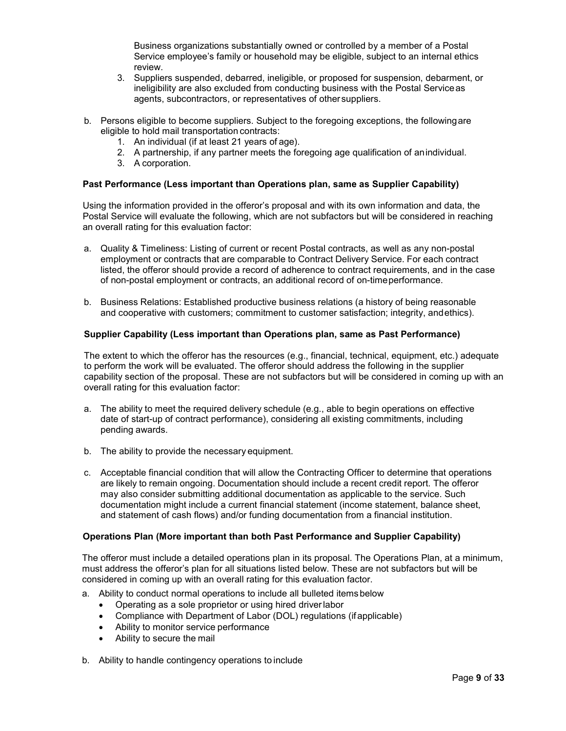Business organizations substantially owned or controlled by a member of a Postal Service employee's family or household may be eligible, subject to an internal ethics review.

- 3. Suppliers suspended, debarred, ineligible, or proposed for suspension, debarment, or ineligibility are also excluded from conducting business with the Postal Serviceas agents, subcontractors, or representatives of othersuppliers.
- b. Persons eligible to become suppliers. Subject to the foregoing exceptions, the followingare eligible to hold mail transportation contracts:
	- 1. An individual (if at least 21 years of age).
	- 2. A partnership, if any partner meets the foregoing age qualification of anindividual.
	- 3. A corporation.

### **Past Performance (Less important than Operations plan, same as Supplier Capability)**

Using the information provided in the offeror's proposal and with its own information and data, the Postal Service will evaluate the following, which are not subfactors but will be considered in reaching an overall rating for this evaluation factor:

- a. Quality & Timeliness: Listing of current or recent Postal contracts, as well as any non-postal employment or contracts that are comparable to Contract Delivery Service. For each contract listed, the offeror should provide a record of adherence to contract requirements, and in the case of non-postal employment or contracts, an additional record of on-timeperformance.
- b. Business Relations: Established productive business relations (a history of being reasonable and cooperative with customers; commitment to customer satisfaction; integrity, andethics).

## **Supplier Capability (Less important than Operations plan, same as Past Performance)**

The extent to which the offeror has the resources (e.g., financial, technical, equipment, etc.) adequate to perform the work will be evaluated. The offeror should address the following in the supplier capability section of the proposal. These are not subfactors but will be considered in coming up with an overall rating for this evaluation factor:

- a. The ability to meet the required delivery schedule (e.g., able to begin operations on effective date of start-up of contract performance), considering all existing commitments, including pending awards.
- b. The ability to provide the necessary equipment.
- c. Acceptable financial condition that will allow the Contracting Officer to determine that operations are likely to remain ongoing. Documentation should include a recent credit report. The offeror may also consider submitting additional documentation as applicable to the service. Such documentation might include a current financial statement (income statement, balance sheet, and statement of cash flows) and/or funding documentation from a financial institution.

#### **Operations Plan (More important than both Past Performance and Supplier Capability)**

The offeror must include a detailed operations plan in its proposal. The Operations Plan, at a minimum, must address the offeror's plan for all situations listed below. These are not subfactors but will be considered in coming up with an overall rating for this evaluation factor.

- a. Ability to conduct normal operations to include all bulleted itemsbelow
	- Operating as a sole proprietor or using hired driver labor
	- Compliance with Department of Labor (DOL) regulations (if applicable)
	- Ability to monitor service performance
	- Ability to secure the mail
- b. Ability to handle contingency operations to include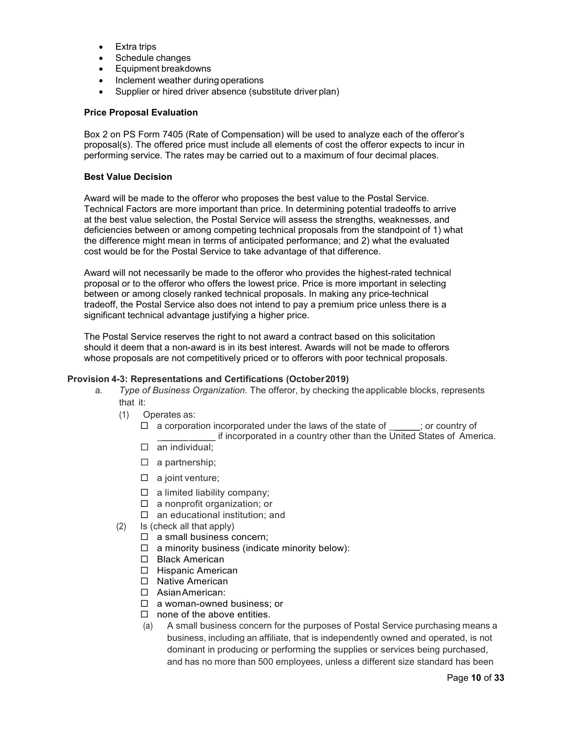- $\bullet$  Extra trips
- Schedule changes
- Equipment breakdowns
- Inclement weather during operations
- Supplier or hired driver absence (substitute driver plan)

#### **Price Proposal Evaluation**

Box 2 on PS Form 7405 (Rate of Compensation) will be used to analyze each of the offeror's proposal(s). The offered price must include all elements of cost the offeror expects to incur in performing service. The rates may be carried out to a maximum of four decimal places.

#### **Best Value Decision**

Award will be made to the offeror who proposes the best value to the Postal Service. Technical Factors are more important than price. In determining potential tradeoffs to arrive at the best value selection, the Postal Service will assess the strengths, weaknesses, and deficiencies between or among competing technical proposals from the standpoint of 1) what the difference might mean in terms of anticipated performance; and 2) what the evaluated cost would be for the Postal Service to take advantage of that difference.

Award will not necessarily be made to the offeror who provides the highest-rated technical proposal or to the offeror who offers the lowest price. Price is more important in selecting between or among closely ranked technical proposals. In making any price-technical tradeoff, the Postal Service also does not intend to pay a premium price unless there is a significant technical advantage justifying a higher price.

The Postal Service reserves the right to not award a contract based on this solicitation should it deem that a non-award is in its best interest. Awards will not be made to offerors whose proposals are not competitively priced or to offerors with poor technical proposals.

### **Provision 4-3: Representations and Certifications (October2019)**

- a. *Type of Business Organization.* The offeror, by checking theapplicable blocks, represents that it:
	- (1) Operates as:
		- $\Box$  a corporation incorporated under the laws of the state of  $\Box$ ; or country of \_\_\_\_\_ \_\_\_\_\_ if incorporated in a country other than the United States of America.
		- $\Box$  an individual;
		- $\Box$  a partnership;
		- $\Box$  a joint venture;
		- $\Box$  a limited liability company;
		- $\Box$  a nonprofit organization; or
		- $\square$  an educational institution; and
	- (2) Is (check all that apply)
		- $\Box$  a small business concern;
		- $\Box$  a minority business (indicate minority below):
		- □ Black American
		- $\Box$  Hispanic American
		- □ Native American
		- □ Asian American:
		- □ a woman-owned business; or
		- $\square$  none of the above entities.
		- (a) A small business concern for the purposes of Postal Service purchasing means a business, including an affiliate, that is independently owned and operated, is not dominant in producing or performing the supplies or services being purchased, and has no more than 500 employees, unless a different size standard has been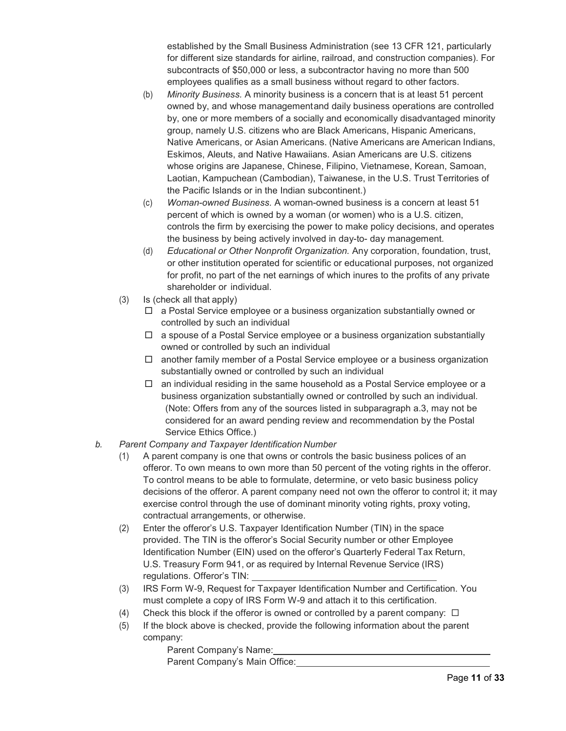established by the Small Business Administration (see 13 CFR 121, particularly for different size standards for airline, railroad, and construction companies). For subcontracts of \$50,000 or less, a subcontractor having no more than 500 employees qualifies as a small business without regard to other factors.

- (b) *Minority Business.* A minority business is a concern that is at least 51 percent owned by, and whose managementand daily business operations are controlled by, one or more members of a socially and economically disadvantaged minority group, namely U.S. citizens who are Black Americans, Hispanic Americans, Native Americans, or Asian Americans. (Native Americans are American Indians, Eskimos, Aleuts, and Native Hawaiians. Asian Americans are U.S. citizens whose origins are Japanese, Chinese, Filipino, Vietnamese, Korean, Samoan, Laotian, Kampuchean (Cambodian), Taiwanese, in the U.S. Trust Territories of the Pacific Islands or in the Indian subcontinent.)
- (c) *Woman-owned Business.* A woman-owned business is a concern at least 51 percent of which is owned by a woman (or women) who is a U.S. citizen, controls the firm by exercising the power to make policy decisions, and operates the business by being actively involved in day-to- day management.
- (d) *Educational or Other Nonprofit Organization.* Any corporation, foundation, trust, or other institution operated for scientific or educational purposes, not organized for profit, no part of the net earnings of which inures to the profits of any private shareholder or individual.
- (3) Is (check all that apply)
	- $\Box$  a Postal Service employee or a business organization substantially owned or controlled by such an individual
	- a spouse of a Postal Service employee or a business organization substantially owned or controlled by such an individual
	- another family member of a Postal Service employee or a business organization substantially owned or controlled by such an individual
	- $\Box$  an individual residing in the same household as a Postal Service employee or a business organization substantially owned or controlled by such an individual. (Note: Offers from any of the sources listed in subparagraph a.3, may not be considered for an award pending review and recommendation by the Postal Service Ethics Office.)
- *b. Parent Company and Taxpayer Identification Number*
	- (1) A parent company is one that owns or controls the basic business polices of an offeror. To own means to own more than 50 percent of the voting rights in the offeror. To control means to be able to formulate, determine, or veto basic business policy decisions of the offeror. A parent company need not own the offeror to control it; it may exercise control through the use of dominant minority voting rights, proxy voting, contractual arrangements, or otherwise.
	- (2) Enter the offeror's U.S. Taxpayer Identification Number (TIN) in the space provided. The TIN is the offeror's Social Security number or other Employee Identification Number (EIN) used on the offeror's Quarterly Federal Tax Return, U.S. Treasury Form 941, or as required by Internal Revenue Service (IRS) regulations. Offeror's TIN:
	- (3) IRS Form W-9, Request for Taxpayer Identification Number and Certification. You must complete a copy of IRS Form W-9 and attach it to this certification.
	- (4) Check this block if the offeror is owned or controlled by a parent company:  $\Box$
	- (5) If the block above is checked, provide the following information about the parent company:

Parent Company's Name: Parent Company's Main Office: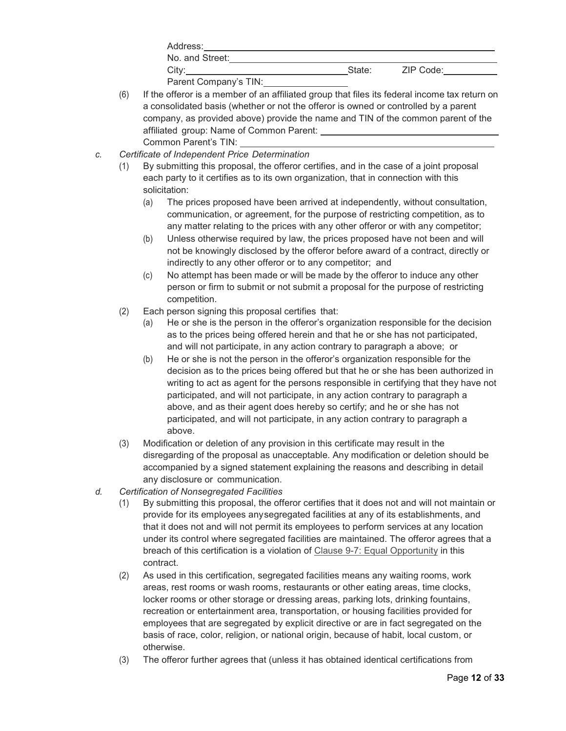| Address:              |        |           |  |
|-----------------------|--------|-----------|--|
| No. and Street:       |        |           |  |
| City:                 | State: | ZIP Code: |  |
| Parent Company's TIN: |        |           |  |

- (6) If the offeror is a member of an affiliated group that files its federal income tax return on a consolidated basis (whether or not the offeror is owned or controlled by a parent company, as provided above) provide the name and TIN of the common parent of the affiliated group: Name of Common Parent: Common Parent's TIN:
- *c. Certificate of Independent Price Determination*
	- (1) By submitting this proposal, the offeror certifies, and in the case of a joint proposal each party to it certifies as to its own organization, that in connection with this solicitation:
		- (a) The prices proposed have been arrived at independently, without consultation, communication, or agreement, for the purpose of restricting competition, as to any matter relating to the prices with any other offeror or with any competitor;
		- (b) Unless otherwise required by law, the prices proposed have not been and will not be knowingly disclosed by the offeror before award of a contract, directly or indirectly to any other offeror or to any competitor; and
		- (c) No attempt has been made or will be made by the offeror to induce any other person or firm to submit or not submit a proposal for the purpose of restricting competition.
	- (2) Each person signing this proposal certifies that:
		- (a) He or she is the person in the offeror's organization responsible for the decision as to the prices being offered herein and that he or she has not participated, and will not participate, in any action contrary to paragraph a above; or
		- (b) He or she is not the person in the offeror's organization responsible for the decision as to the prices being offered but that he or she has been authorized in writing to act as agent for the persons responsible in certifying that they have not participated, and will not participate, in any action contrary to paragraph a above, and as their agent does hereby so certify; and he or she has not participated, and will not participate, in any action contrary to paragraph a above.
	- (3) Modification or deletion of any provision in this certificate may result in the disregarding of the proposal as unacceptable. Any modification or deletion should be accompanied by a signed statement explaining the reasons and describing in detail any disclosure or communication.
- *d. Certification of Nonsegregated Facilities*
	- (1) By submitting this proposal, the offeror certifies that it does not and will not maintain or provide for its employees anysegregated facilities at any of its establishments, and that it does not and will not permit its employees to perform services at any location under its control where segregated facilities are maintained. The offeror agrees that a breach of this certification is a violation of Clause 9-7: Equal Opportunity in this contract.
	- (2) As used in this certification, segregated facilities means any waiting rooms, work areas, rest rooms or wash rooms, restaurants or other eating areas, time clocks, locker rooms or other storage or dressing areas, parking lots, drinking fountains, recreation or entertainment area, transportation, or housing facilities provided for employees that are segregated by explicit directive or are in fact segregated on the basis of race, color, religion, or national origin, because of habit, local custom, or otherwise.
	- (3) The offeror further agrees that (unless it has obtained identical certifications from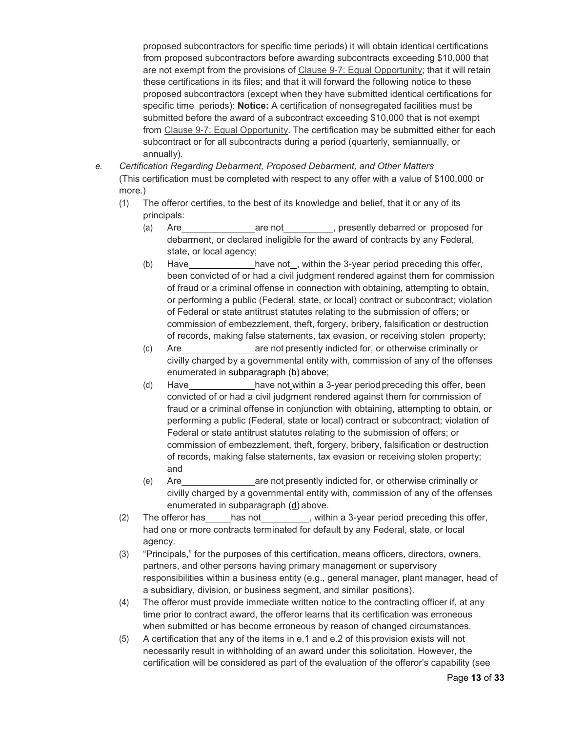proposed subcontractors for specific time periods) it will obtain identical certifications from proposed subcontractors before awarding subcontracts exceeding \$10,000 that are not exempt from the provisions of Clause 9-7: Equal Opportunity; that it will retain these certifications in its files; and that it will forward the following notice to these proposed subcontractors (except when they have submitted identical certifications for specific time periods): **Notice:** A certification of nonsegregated facilities must be submitted before the award of a subcontract exceeding \$10,000 that is not exempt from Clause 9-7: Equal Opportunity. The certification may be submitted either for each subcontract or for all subcontracts during a period (quarterly, semiannually, or annually).

- *e. Certification Regarding Debarment, Proposed Debarment, and Other Matters* (This certification must be completed with respect to any offer with a value of \$100,000 or more.)
	- (1) The offeror certifies, to the best of its knowledge and belief, that it or any of its principals:
		- (a) Are are not , presently debarred or proposed for debarment, or declared ineligible for the award of contracts by any Federal, state, or local agency;
		- (b) Have have have not , within the 3-year period preceding this offer, been convicted of or had a civil judgment rendered against them for commission of fraud or a criminal offense in connection with obtaining, attempting to obtain, or performing a public (Federal, state, or local) contract or subcontract; violation of Federal or state antitrust statutes relating to the submission of offers; or commission of embezzlement, theft, forgery, bribery, falsification or destruction of records, making false statements, tax evasion, or receiving stolen property;
		- (c) Are are not presently indicted for, or otherwise criminally or civilly charged by a governmental entity with, commission of any of the offenses enumerated in subparagraph (b) above;
		- (d) Have have not within a 3-year period preceding this offer, been convicted of or had a civil judgment rendered against them for commission of fraud or a criminal offense in conjunction with obtaining, attempting to obtain, or performing a public (Federal, state or local) contract or subcontract; violation of Federal or state antitrust statutes relating to the submission of offers; or commission of embezzlement, theft, forgery, bribery, falsification or destruction of records, making false statements, tax evasion or receiving stolen property; and
		- (e) Are are not presently indicted for, or otherwise criminally or civilly charged by a governmental entity with, commission of any of the offenses enumerated in subparagraph (d) above.
	- (2) The offeror has has not , within a 3-year period preceding this offer, had one or more contracts terminated for default by any Federal, state, or local agency.
	- (3) "Principals," for the purposes of this certification, means officers, directors, owners, partners, and other persons having primary management or supervisory responsibilities within a business entity (e.g., general manager, plant manager, head of a subsidiary, division, or business segment, and similar positions).
	- (4) The offeror must provide immediate written notice to the contracting officer if, at any time prior to contract award, the offeror learns that its certification was erroneous when submitted or has become erroneous by reason of changed circumstances.
	- (5) A certification that any of the items in e.1 and e.2 of thisprovision exists will not necessarily result in withholding of an award under this solicitation. However, the certification will be considered as part of the evaluation of the offeror's capability (see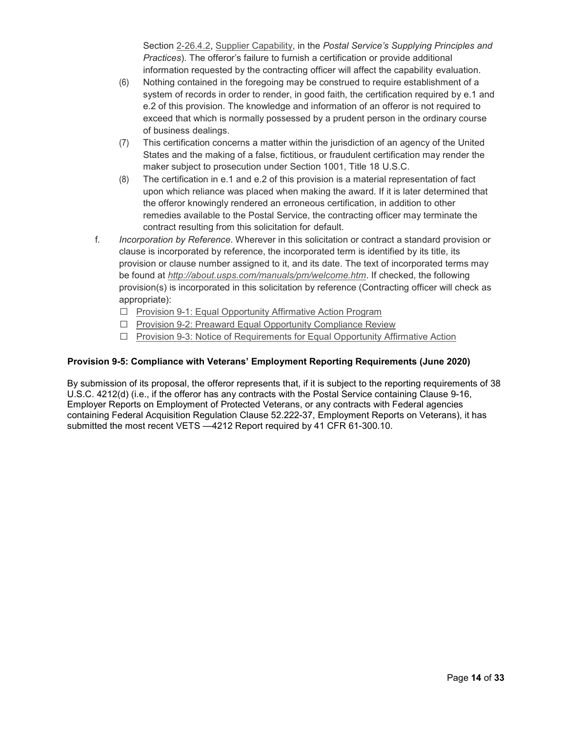Section 2-26.4.2, Supplier Capability, in the *Postal Service's Supplying Principles and Practices*). The offeror's failure to furnish a certification or provide additional information requested by the contracting officer will affect the capability evaluation.

- (6) Nothing contained in the foregoing may be construed to require establishment of a system of records in order to render, in good faith, the certification required by e.1 and e.2 of this provision. The knowledge and information of an offeror is not required to exceed that which is normally possessed by a prudent person in the ordinary course of business dealings.
- (7) This certification concerns a matter within the jurisdiction of an agency of the United States and the making of a false, fictitious, or fraudulent certification may render the maker subject to prosecution under Section 1001, Title 18 U.S.C.
- (8) The certification in e.1 and e.2 of this provision is a material representation of fact upon which reliance was placed when making the award. If it is later determined that the offeror knowingly rendered an erroneous certification, in addition to other remedies available to the Postal Service, the contracting officer may terminate the contract resulting from this solicitation for default.
- f. *Incorporation by Reference*. Wherever in this solicitation or contract a standard provision or clause is incorporated by reference, the incorporated term is identified by its title, its provision or clause number assigned to it, and its date. The text of incorporated terms may be found at *http://about.usps.com/manuals/pm/welcome.htm*. If checked, the following provision(s) is incorporated in this solicitation by reference (Contracting officer will check as appropriate):
	- $\Box$  Provision 9-1: Equal Opportunity Affirmative Action Program
	- $\Box$  Provision 9-2: Preaward Equal Opportunity Compliance Review
	- □ Provision 9-3: Notice of Requirements for Equal Opportunity Affirmative Action

## **Provision 9-5: Compliance with Veterans' Employment Reporting Requirements (June 2020)**

By submission of its proposal, the offeror represents that, if it is subject to the reporting requirements of 38 U.S.C. 4212(d) (i.e., if the offeror has any contracts with the Postal Service containing Clause 9-16, Employer Reports on Employment of Protected Veterans, or any contracts with Federal agencies containing Federal Acquisition Regulation Clause 52.222-37, Employment Reports on Veterans), it has submitted the most recent VETS —4212 Report required by 41 CFR 61-300.10.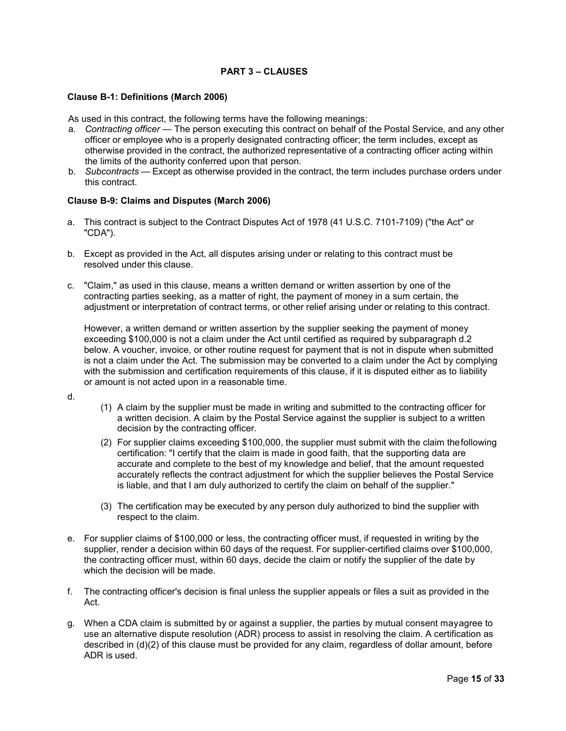# **PART 3 – CLAUSES**

### **Clause B-1: Definitions (March 2006)**

As used in this contract, the following terms have the following meanings:

- a. *Contracting officer —* The person executing this contract on behalf of the Postal Service, and any other officer or employee who is a properly designated contracting officer; the term includes, except as otherwise provided in the contract, the authorized representative of a contracting officer acting within the limits of the authority conferred upon that person.
- b. *Subcontracts* Except as otherwise provided in the contract, the term includes purchase orders under this contract.

#### **Clause B-9: Claims and Disputes (March 2006)**

- a. This contract is subject to the Contract Disputes Act of 1978 (41 U.S.C. 7101-7109) ("the Act" or "CDA").
- b. Except as provided in the Act, all disputes arising under or relating to this contract must be resolved under this clause.
- c. "Claim," as used in this clause, means a written demand or written assertion by one of the contracting parties seeking, as a matter of right, the payment of money in a sum certain, the adjustment or interpretation of contract terms, or other relief arising under or relating to this contract.

However, a written demand or written assertion by the supplier seeking the payment of money exceeding \$100,000 is not a claim under the Act until certified as required by subparagraph d.2 below. A voucher, invoice, or other routine request for payment that is not in dispute when submitted is not a claim under the Act. The submission may be converted to a claim under the Act by complying with the submission and certification requirements of this clause, if it is disputed either as to liability or amount is not acted upon in a reasonable time.

- d.
- (1) A claim by the supplier must be made in writing and submitted to the contracting officer for a written decision. A claim by the Postal Service against the supplier is subject to a written decision by the contracting officer.
- (2) For supplier claims exceeding \$100,000, the supplier must submit with the claim thefollowing certification: "I certify that the claim is made in good faith, that the supporting data are accurate and complete to the best of my knowledge and belief, that the amount requested accurately reflects the contract adjustment for which the supplier believes the Postal Service is liable, and that I am duly authorized to certify the claim on behalf of the supplier."
- (3) The certification may be executed by any person duly authorized to bind the supplier with respect to the claim.
- e. For supplier claims of \$100,000 or less, the contracting officer must, if requested in writing by the supplier, render a decision within 60 days of the request. For supplier-certified claims over \$100,000, the contracting officer must, within 60 days, decide the claim or notify the supplier of the date by which the decision will be made.
- f. The contracting officer's decision is final unless the supplier appeals or files a suit as provided in the Act.
- g. When a CDA claim is submitted by or against a supplier, the parties by mutual consent mayagree to use an alternative dispute resolution (ADR) process to assist in resolving the claim. A certification as described in (d)(2) of this clause must be provided for any claim, regardless of dollar amount, before ADR is used.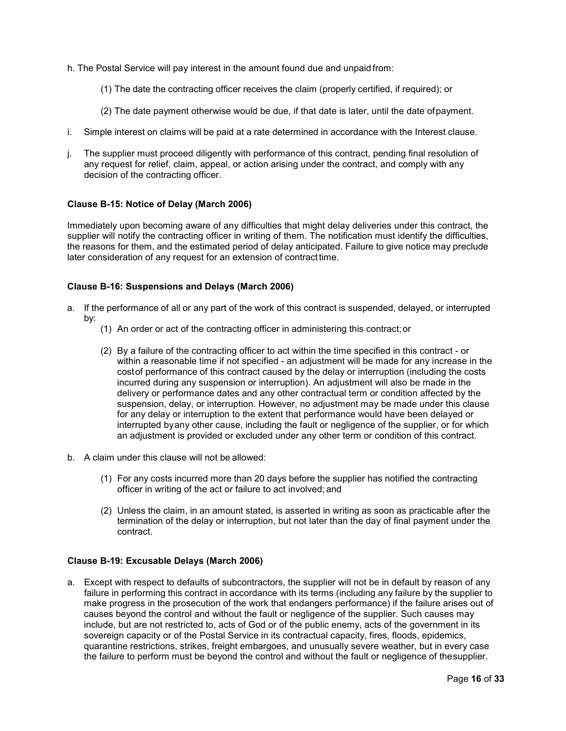- h. The Postal Service will pay interest in the amount found due and unpaid from:
	- (1) The date the contracting officer receives the claim (properly certified, if required); or
	- (2) The date payment otherwise would be due, if that date is later, until the date ofpayment.
- i. Simple interest on claims will be paid at a rate determined in accordance with the Interest clause.
- j. The supplier must proceed diligently with performance of this contract, pending final resolution of any request for relief, claim, appeal, or action arising under the contract, and comply with any decision of the contracting officer.

#### **Clause B-15: Notice of Delay (March 2006)**

Immediately upon becoming aware of any difficulties that might delay deliveries under this contract, the supplier will notify the contracting officer in writing of them. The notification must identify the difficulties, the reasons for them, and the estimated period of delay anticipated. Failure to give notice may preclude later consideration of any request for an extension of contracttime.

#### **Clause B-16: Suspensions and Delays (March 2006)**

- a. If the performance of all or any part of the work of this contract is suspended, delayed, or interrupted by:
	- (1) An order or act of the contracting officer in administering this contract;or
	- (2) By a failure of the contracting officer to act within the time specified in this contract or within a reasonable time if not specified - an adjustment will be made for any increase in the costof performance of this contract caused by the delay or interruption (including the costs incurred during any suspension or interruption). An adjustment will also be made in the delivery or performance dates and any other contractual term or condition affected by the suspension, delay, or interruption. However, no adjustment may be made under this clause for any delay or interruption to the extent that performance would have been delayed or interrupted byany other cause, including the fault or negligence of the supplier, or for which an adjustment is provided or excluded under any other term or condition of this contract.
- b. A claim under this clause will not be allowed:
	- (1) For any costs incurred more than 20 days before the supplier has notified the contracting officer in writing of the act or failure to act involved; and
	- (2) Unless the claim, in an amount stated, is asserted in writing as soon as practicable after the termination of the delay or interruption, but not later than the day of final payment under the contract.

### **Clause B-19: Excusable Delays (March 2006)**

a. Except with respect to defaults of subcontractors, the supplier will not be in default by reason of any failure in performing this contract in accordance with its terms (including any failure by the supplier to make progress in the prosecution of the work that endangers performance) if the failure arises out of causes beyond the control and without the fault or negligence of the supplier. Such causes may include, but are not restricted to, acts of God or of the public enemy, acts of the government in its sovereign capacity or of the Postal Service in its contractual capacity, fires, floods, epidemics, quarantine restrictions, strikes, freight embargoes, and unusually severe weather, but in every case the failure to perform must be beyond the control and without the fault or negligence of thesupplier.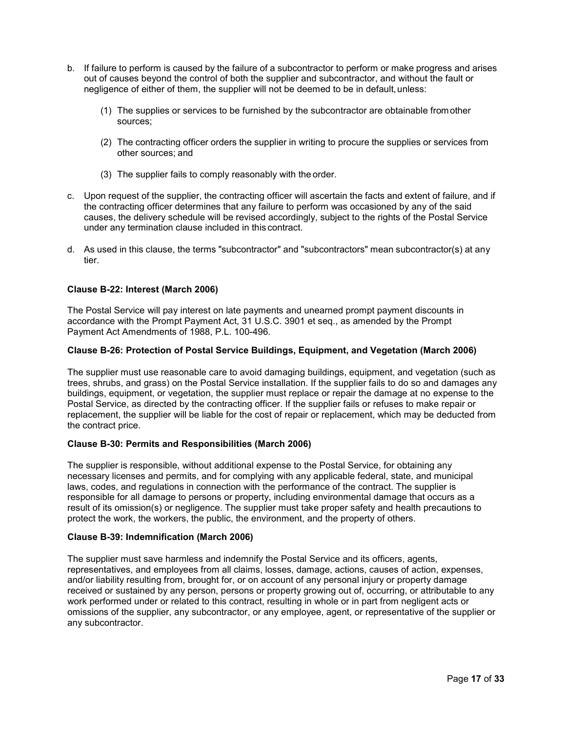- b. If failure to perform is caused by the failure of a subcontractor to perform or make progress and arises out of causes beyond the control of both the supplier and subcontractor, and without the fault or negligence of either of them, the supplier will not be deemed to be in default,unless:
	- (1) The supplies or services to be furnished by the subcontractor are obtainable fromother sources;
	- (2) The contracting officer orders the supplier in writing to procure the supplies or services from other sources; and
	- (3) The supplier fails to comply reasonably with the order.
- c. Upon request of the supplier, the contracting officer will ascertain the facts and extent of failure, and if the contracting officer determines that any failure to perform was occasioned by any of the said causes, the delivery schedule will be revised accordingly, subject to the rights of the Postal Service under any termination clause included in this contract.
- d. As used in this clause, the terms "subcontractor" and "subcontractors" mean subcontractor(s) at any tier.

# **Clause B-22: Interest (March 2006)**

The Postal Service will pay interest on late payments and unearned prompt payment discounts in accordance with the Prompt Payment Act, 31 U.S.C. 3901 et seq., as amended by the Prompt Payment Act Amendments of 1988, P.L. 100-496.

### **Clause B-26: Protection of Postal Service Buildings, Equipment, and Vegetation (March 2006)**

The supplier must use reasonable care to avoid damaging buildings, equipment, and vegetation (such as trees, shrubs, and grass) on the Postal Service installation. If the supplier fails to do so and damages any buildings, equipment, or vegetation, the supplier must replace or repair the damage at no expense to the Postal Service, as directed by the contracting officer. If the supplier fails or refuses to make repair or replacement, the supplier will be liable for the cost of repair or replacement, which may be deducted from the contract price.

### **Clause B-30: Permits and Responsibilities (March 2006)**

The supplier is responsible, without additional expense to the Postal Service, for obtaining any necessary licenses and permits, and for complying with any applicable federal, state, and municipal laws, codes, and regulations in connection with the performance of the contract. The supplier is responsible for all damage to persons or property, including environmental damage that occurs as a result of its omission(s) or negligence. The supplier must take proper safety and health precautions to protect the work, the workers, the public, the environment, and the property of others.

### **Clause B-39: Indemnification (March 2006)**

The supplier must save harmless and indemnify the Postal Service and its officers, agents, representatives, and employees from all claims, losses, damage, actions, causes of action, expenses, and/or liability resulting from, brought for, or on account of any personal injury or property damage received or sustained by any person, persons or property growing out of, occurring, or attributable to any work performed under or related to this contract, resulting in whole or in part from negligent acts or omissions of the supplier, any subcontractor, or any employee, agent, or representative of the supplier or any subcontractor.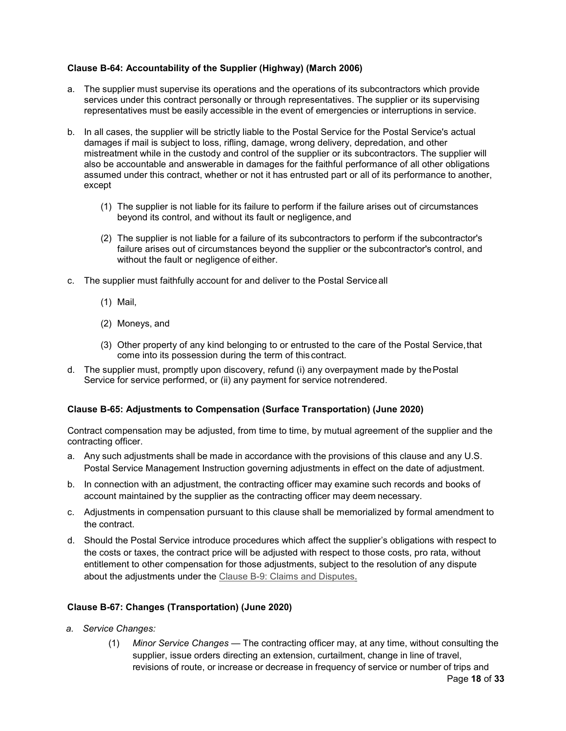# **Clause B-64: Accountability of the Supplier (Highway) (March 2006)**

- a. The supplier must supervise its operations and the operations of its subcontractors which provide services under this contract personally or through representatives. The supplier or its supervising representatives must be easily accessible in the event of emergencies or interruptions in service.
- b. In all cases, the supplier will be strictly liable to the Postal Service for the Postal Service's actual damages if mail is subject to loss, rifling, damage, wrong delivery, depredation, and other mistreatment while in the custody and control of the supplier or its subcontractors. The supplier will also be accountable and answerable in damages for the faithful performance of all other obligations assumed under this contract, whether or not it has entrusted part or all of its performance to another, except
	- (1) The supplier is not liable for its failure to perform if the failure arises out of circumstances beyond its control, and without its fault or negligence, and
	- (2) The supplier is not liable for a failure of its subcontractors to perform if the subcontractor's failure arises out of circumstances beyond the supplier or the subcontractor's control, and without the fault or negligence of either.
- c. The supplier must faithfully account for and deliver to the Postal Serviceall
	- (1) Mail,
	- (2) Moneys, and
	- (3) Other property of any kind belonging to or entrusted to the care of the Postal Service,that come into its possession during the term of this contract.
- d. The supplier must, promptly upon discovery, refund (i) any overpayment made by the Postal Service for service performed, or (ii) any payment for service notrendered.

### **Clause B-65: Adjustments to Compensation (Surface Transportation) (June 2020)**

Contract compensation may be adjusted, from time to time, by mutual agreement of the supplier and the contracting officer.

- a. Any such adjustments shall be made in accordance with the provisions of this clause and any U.S. Postal Service Management Instruction governing adjustments in effect on the date of adjustment.
- b. In connection with an adjustment, the contracting officer may examine such records and books of account maintained by the supplier as the contracting officer may deem necessary.
- c. Adjustments in compensation pursuant to this clause shall be memorialized by formal amendment to the contract.
- d. Should the Postal Service introduce procedures which affect the supplier's obligations with respect to the costs or taxes, the contract price will be adjusted with respect to those costs, pro rata, without entitlement to other compensation for those adjustments, subject to the resolution of any dispute about the adjustments under the Clause B-9: Claims and Disputes.

### **Clause B-67: Changes (Transportation) (June 2020)**

- *a. Service Changes:*
	- Page **18** of **33** (1) *Minor Service Changes* — The contracting officer may, at any time, without consulting the supplier, issue orders directing an extension, curtailment, change in line of travel, revisions of route, or increase or decrease in frequency of service or number of trips and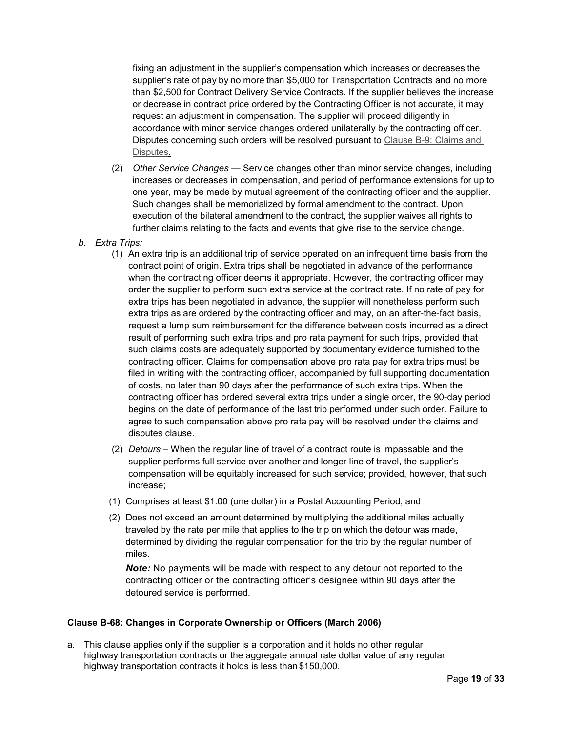fixing an adjustment in the supplier's compensation which increases or decreases the supplier's rate of pay by no more than \$5,000 for Transportation Contracts and no more than \$2,500 for Contract Delivery Service Contracts. If the supplier believes the increase or decrease in contract price ordered by the Contracting Officer is not accurate, it may request an adjustment in compensation. The supplier will proceed diligently in accordance with minor service changes ordered unilaterally by the contracting officer. Disputes concerning such orders will be resolved pursuant to Clause B-9: Claims and Disputes.

- (2) *Other Service Changes* Service changes other than minor service changes, including increases or decreases in compensation, and period of performance extensions for up to one year, may be made by mutual agreement of the contracting officer and the supplier. Such changes shall be memorialized by formal amendment to the contract. Upon execution of the bilateral amendment to the contract, the supplier waives all rights to further claims relating to the facts and events that give rise to the service change.
- *b. Extra Trips:*
	- (1) An extra trip is an additional trip of service operated on an infrequent time basis from the contract point of origin. Extra trips shall be negotiated in advance of the performance when the contracting officer deems it appropriate. However, the contracting officer may order the supplier to perform such extra service at the contract rate. If no rate of pay for extra trips has been negotiated in advance, the supplier will nonetheless perform such extra trips as are ordered by the contracting officer and may, on an after-the-fact basis, request a lump sum reimbursement for the difference between costs incurred as a direct result of performing such extra trips and pro rata payment for such trips, provided that such claims costs are adequately supported by documentary evidence furnished to the contracting officer. Claims for compensation above pro rata pay for extra trips must be filed in writing with the contracting officer, accompanied by full supporting documentation of costs, no later than 90 days after the performance of such extra trips. When the contracting officer has ordered several extra trips under a single order, the 90-day period begins on the date of performance of the last trip performed under such order. Failure to agree to such compensation above pro rata pay will be resolved under the claims and disputes clause.
	- (2) *Detours –* When the regular line of travel of a contract route is impassable and the supplier performs full service over another and longer line of travel, the supplier's compensation will be equitably increased for such service; provided, however, that such increase;
	- (1) Comprises at least \$1.00 (one dollar) in a Postal Accounting Period, and
	- (2) Does not exceed an amount determined by multiplying the additional miles actually traveled by the rate per mile that applies to the trip on which the detour was made, determined by dividing the regular compensation for the trip by the regular number of miles.

*Note:* No payments will be made with respect to any detour not reported to the contracting officer or the contracting officer's designee within 90 days after the detoured service is performed.

### **Clause B-68: Changes in Corporate Ownership or Officers (March 2006)**

a. This clause applies only if the supplier is a corporation and it holds no other regular highway transportation contracts or the aggregate annual rate dollar value of any regular highway transportation contracts it holds is less than \$150,000.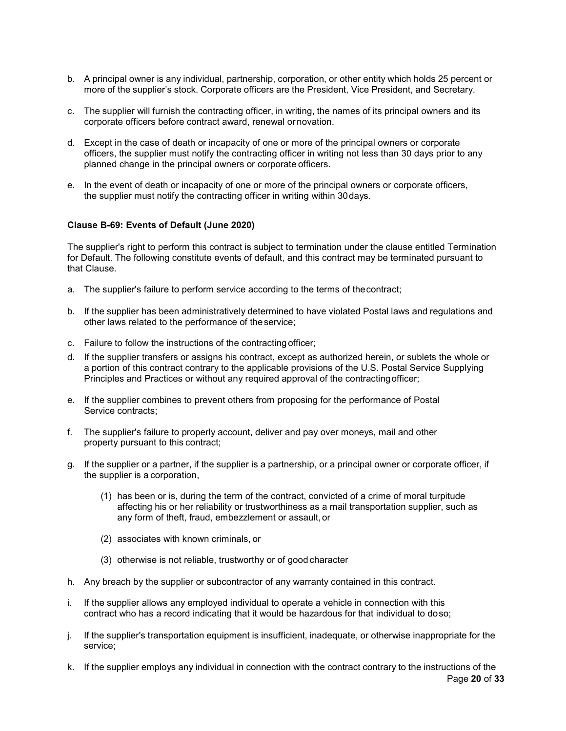- b. A principal owner is any individual, partnership, corporation, or other entity which holds 25 percent or more of the supplier's stock. Corporate officers are the President, Vice President, and Secretary.
- c. The supplier will furnish the contracting officer, in writing, the names of its principal owners and its corporate officers before contract award, renewal ornovation.
- d. Except in the case of death or incapacity of one or more of the principal owners or corporate officers, the supplier must notify the contracting officer in writing not less than 30 days prior to any planned change in the principal owners or corporate officers.
- e. In the event of death or incapacity of one or more of the principal owners or corporate officers, the supplier must notify the contracting officer in writing within 30days.

### **Clause B-69: Events of Default (June 2020)**

The supplier's right to perform this contract is subject to termination under the clause entitled Termination for Default. The following constitute events of default, and this contract may be terminated pursuant to that Clause.

- a. The supplier's failure to perform service according to the terms of thecontract;
- b. If the supplier has been administratively determined to have violated Postal laws and regulations and other laws related to the performance of theservice;
- c. Failure to follow the instructions of the contractingofficer;
- d. If the supplier transfers or assigns his contract, except as authorized herein, or sublets the whole or a portion of this contract contrary to the applicable provisions of the U.S. Postal Service Supplying Principles and Practices or without any required approval of the contractingofficer;
- e. If the supplier combines to prevent others from proposing for the performance of Postal Service contracts;
- f. The supplier's failure to properly account, deliver and pay over moneys, mail and other property pursuant to this contract;
- g. If the supplier or a partner, if the supplier is a partnership, or a principal owner or corporate officer, if the supplier is a corporation,
	- (1) has been or is, during the term of the contract, convicted of a crime of moral turpitude affecting his or her reliability or trustworthiness as a mail transportation supplier, such as any form of theft, fraud, embezzlement or assault, or
	- (2) associates with known criminals, or
	- (3) otherwise is not reliable, trustworthy or of good character
- h. Any breach by the supplier or subcontractor of any warranty contained in this contract.
- i. If the supplier allows any employed individual to operate a vehicle in connection with this contract who has a record indicating that it would be hazardous for that individual to doso;
- j. If the supplier's transportation equipment is insufficient, inadequate, or otherwise inappropriate for the service;
- Page **20** of **33** k. If the supplier employs any individual in connection with the contract contrary to the instructions of the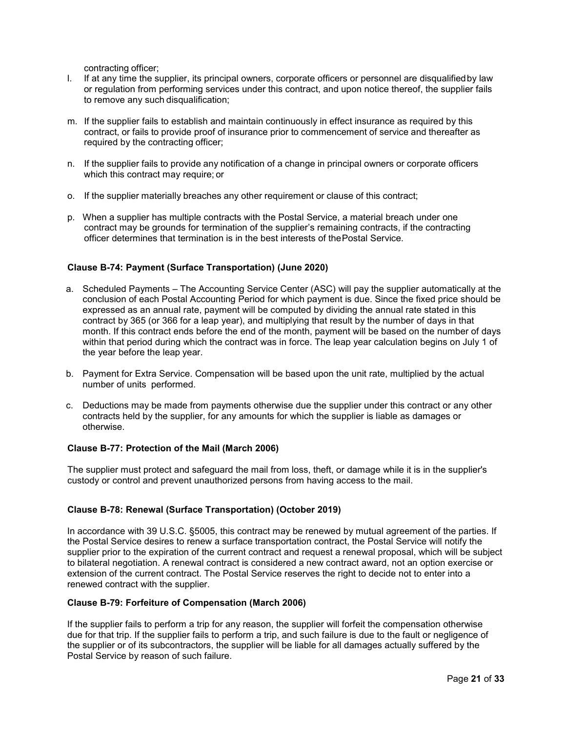contracting officer;

- l. If at any time the supplier, its principal owners, corporate officers or personnel are disqualifiedby law or regulation from performing services under this contract, and upon notice thereof, the supplier fails to remove any such disqualification;
- m. If the supplier fails to establish and maintain continuously in effect insurance as required by this contract, or fails to provide proof of insurance prior to commencement of service and thereafter as required by the contracting officer;
- n. If the supplier fails to provide any notification of a change in principal owners or corporate officers which this contract may require; or
- o. If the supplier materially breaches any other requirement or clause of this contract;
- p. When a supplier has multiple contracts with the Postal Service, a material breach under one contract may be grounds for termination of the supplier's remaining contracts, if the contracting officer determines that termination is in the best interests of thePostal Service.

### **Clause B-74: Payment (Surface Transportation) (June 2020)**

- a. Scheduled Payments The Accounting Service Center (ASC) will pay the supplier automatically at the conclusion of each Postal Accounting Period for which payment is due. Since the fixed price should be expressed as an annual rate, payment will be computed by dividing the annual rate stated in this contract by 365 (or 366 for a leap year), and multiplying that result by the number of days in that month. If this contract ends before the end of the month, payment will be based on the number of days within that period during which the contract was in force. The leap year calculation begins on July 1 of the year before the leap year.
- b. Payment for Extra Service. Compensation will be based upon the unit rate, multiplied by the actual number of units performed.
- c. Deductions may be made from payments otherwise due the supplier under this contract or any other contracts held by the supplier, for any amounts for which the supplier is liable as damages or otherwise.

#### **Clause B-77: Protection of the Mail (March 2006)**

The supplier must protect and safeguard the mail from loss, theft, or damage while it is in the supplier's custody or control and prevent unauthorized persons from having access to the mail.

### **Clause B-78: Renewal (Surface Transportation) (October 2019)**

In accordance with 39 U.S.C. §5005, this contract may be renewed by mutual agreement of the parties. If the Postal Service desires to renew a surface transportation contract, the Postal Service will notify the supplier prior to the expiration of the current contract and request a renewal proposal, which will be subject to bilateral negotiation. A renewal contract is considered a new contract award, not an option exercise or extension of the current contract. The Postal Service reserves the right to decide not to enter into a renewed contract with the supplier.

# **Clause B-79: Forfeiture of Compensation (March 2006)**

If the supplier fails to perform a trip for any reason, the supplier will forfeit the compensation otherwise due for that trip. If the supplier fails to perform a trip, and such failure is due to the fault or negligence of the supplier or of its subcontractors, the supplier will be liable for all damages actually suffered by the Postal Service by reason of such failure.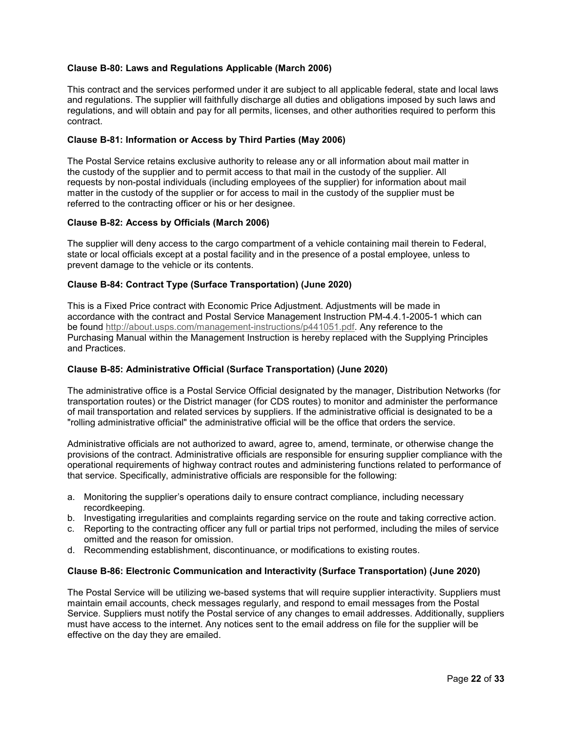# **Clause B-80: Laws and Regulations Applicable (March 2006)**

This contract and the services performed under it are subject to all applicable federal, state and local laws and regulations. The supplier will faithfully discharge all duties and obligations imposed by such laws and regulations, and will obtain and pay for all permits, licenses, and other authorities required to perform this contract.

## **Clause B-81: Information or Access by Third Parties (May 2006)**

The Postal Service retains exclusive authority to release any or all information about mail matter in the custody of the supplier and to permit access to that mail in the custody of the supplier. All requests by non-postal individuals (including employees of the supplier) for information about mail matter in the custody of the supplier or for access to mail in the custody of the supplier must be referred to the contracting officer or his or her designee.

# **Clause B-82: Access by Officials (March 2006)**

The supplier will deny access to the cargo compartment of a vehicle containing mail therein to Federal, state or local officials except at a postal facility and in the presence of a postal employee, unless to prevent damage to the vehicle or its contents.

# **Clause B-84: Contract Type (Surface Transportation) (June 2020)**

This is a Fixed Price contract with Economic Price Adjustment. Adjustments will be made in accordance with the contract and Postal Service Management Instruction PM-4.4.1-2005-1 which can be found http://about.usps.com/management-instructions/p441051.pdf. Any reference to the Purchasing Manual within the Management Instruction is hereby replaced with the Supplying Principles and Practices.

## **Clause B-85: Administrative Official (Surface Transportation) (June 2020)**

The administrative office is a Postal Service Official designated by the manager, Distribution Networks (for transportation routes) or the District manager (for CDS routes) to monitor and administer the performance of mail transportation and related services by suppliers. If the administrative official is designated to be a "rolling administrative official" the administrative official will be the office that orders the service.

Administrative officials are not authorized to award, agree to, amend, terminate, or otherwise change the provisions of the contract. Administrative officials are responsible for ensuring supplier compliance with the operational requirements of highway contract routes and administering functions related to performance of that service. Specifically, administrative officials are responsible for the following:

- a. Monitoring the supplier's operations daily to ensure contract compliance, including necessary recordkeeping.
- b. Investigating irregularities and complaints regarding service on the route and taking corrective action.
- c. Reporting to the contracting officer any full or partial trips not performed, including the miles of service omitted and the reason for omission.
- d. Recommending establishment, discontinuance, or modifications to existing routes.

### **Clause B-86: Electronic Communication and Interactivity (Surface Transportation) (June 2020)**

The Postal Service will be utilizing we-based systems that will require supplier interactivity. Suppliers must maintain email accounts, check messages regularly, and respond to email messages from the Postal Service. Suppliers must notify the Postal service of any changes to email addresses. Additionally, suppliers must have access to the internet. Any notices sent to the email address on file for the supplier will be effective on the day they are emailed.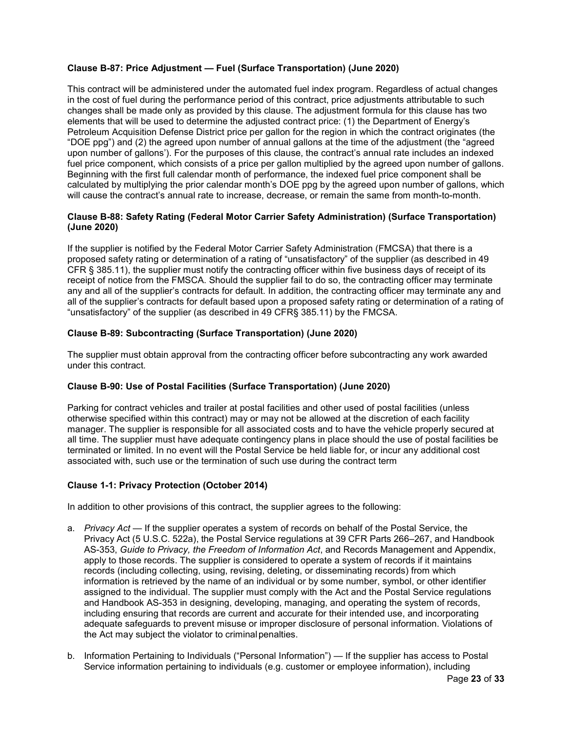# **Clause B-87: Price Adjustment — Fuel (Surface Transportation) (June 2020)**

This contract will be administered under the automated fuel index program. Regardless of actual changes in the cost of fuel during the performance period of this contract, price adjustments attributable to such changes shall be made only as provided by this clause. The adjustment formula for this clause has two elements that will be used to determine the adjusted contract price: (1) the Department of Energy's Petroleum Acquisition Defense District price per gallon for the region in which the contract originates (the "DOE ppg") and (2) the agreed upon number of annual gallons at the time of the adjustment (the "agreed upon number of gallons'). For the purposes of this clause, the contract's annual rate includes an indexed fuel price component, which consists of a price per gallon multiplied by the agreed upon number of gallons. Beginning with the first full calendar month of performance, the indexed fuel price component shall be calculated by multiplying the prior calendar month's DOE ppg by the agreed upon number of gallons, which will cause the contract's annual rate to increase, decrease, or remain the same from month-to-month.

# **Clause B-88: Safety Rating (Federal Motor Carrier Safety Administration) (Surface Transportation) (June 2020)**

If the supplier is notified by the Federal Motor Carrier Safety Administration (FMCSA) that there is a proposed safety rating or determination of a rating of "unsatisfactory" of the supplier (as described in 49 CFR § 385.11), the supplier must notify the contracting officer within five business days of receipt of its receipt of notice from the FMSCA. Should the supplier fail to do so, the contracting officer may terminate any and all of the supplier's contracts for default. In addition, the contracting officer may terminate any and all of the supplier's contracts for default based upon a proposed safety rating or determination of a rating of "unsatisfactory" of the supplier (as described in 49 CFR§ 385.11) by the FMCSA.

# **Clause B-89: Subcontracting (Surface Transportation) (June 2020)**

The supplier must obtain approval from the contracting officer before subcontracting any work awarded under this contract.

# **Clause B-90: Use of Postal Facilities (Surface Transportation) (June 2020)**

Parking for contract vehicles and trailer at postal facilities and other used of postal facilities (unless otherwise specified within this contract) may or may not be allowed at the discretion of each facility manager. The supplier is responsible for all associated costs and to have the vehicle properly secured at all time. The supplier must have adequate contingency plans in place should the use of postal facilities be terminated or limited. In no event will the Postal Service be held liable for, or incur any additional cost associated with, such use or the termination of such use during the contract term

# **Clause 1-1: Privacy Protection (October 2014)**

In addition to other provisions of this contract, the supplier agrees to the following:

- a. *Privacy Act*  If the supplier operates a system of records on behalf of the Postal Service, the Privacy Act (5 U.S.C. 522a), the Postal Service regulations at 39 CFR Parts 266–267, and Handbook AS-353, *Guide to Privacy, the Freedom of Information Act*, and Records Management and Appendix, apply to those records. The supplier is considered to operate a system of records if it maintains records (including collecting, using, revising, deleting, or disseminating records) from which information is retrieved by the name of an individual or by some number, symbol, or other identifier assigned to the individual. The supplier must comply with the Act and the Postal Service regulations and Handbook AS-353 in designing, developing, managing, and operating the system of records, including ensuring that records are current and accurate for their intended use, and incorporating adequate safeguards to prevent misuse or improper disclosure of personal information. Violations of the Act may subject the violator to criminal penalties.
- b. Information Pertaining to Individuals ("Personal Information") If the supplier has access to Postal Service information pertaining to individuals (e.g. customer or employee information), including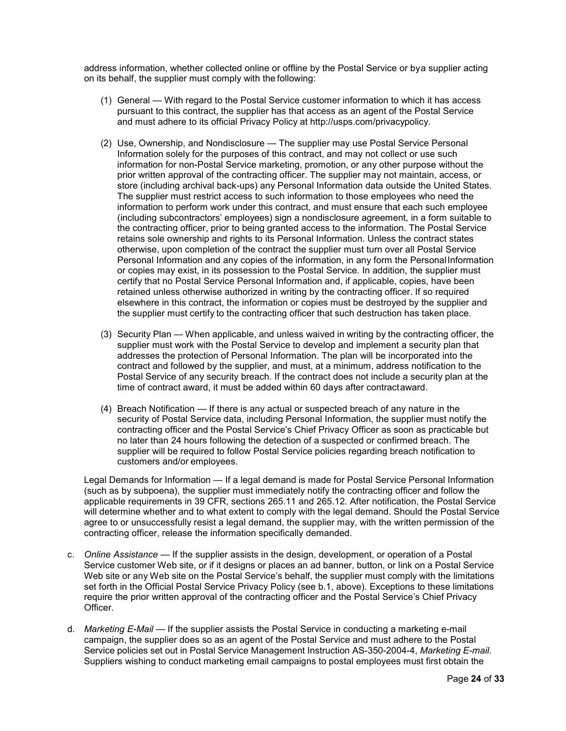address information, whether collected online or offline by the Postal Service or bya supplier acting on its behalf, the supplier must comply with the following:

- (1) General With regard to the Postal Service customer information to which it has access pursuant to this contract, the supplier has that access as an agent of the Postal Service and must adhere to its official Privacy Policy at http://usps.com/privacypolicy.
- (2) Use, Ownership, and Nondisclosure The supplier may use Postal Service Personal Information solely for the purposes of this contract, and may not collect or use such information for non-Postal Service marketing, promotion, or any other purpose without the prior written approval of the contracting officer. The supplier may not maintain, access, or store (including archival back-ups) any Personal Information data outside the United States. The supplier must restrict access to such information to those employees who need the information to perform work under this contract, and must ensure that each such employee (including subcontractors' employees) sign a nondisclosure agreement, in a form suitable to the contracting officer, prior to being granted access to the information. The Postal Service retains sole ownership and rights to its Personal Information. Unless the contract states otherwise, upon completion of the contract the supplier must turn over all Postal Service Personal Information and any copies of the information, in any form the PersonalInformation or copies may exist, in its possession to the Postal Service. In addition, the supplier must certify that no Postal Service Personal Information and, if applicable, copies, have been retained unless otherwise authorized in writing by the contracting officer. If so required elsewhere in this contract, the information or copies must be destroyed by the supplier and the supplier must certify to the contracting officer that such destruction has taken place.
- (3) Security Plan When applicable, and unless waived in writing by the contracting officer, the supplier must work with the Postal Service to develop and implement a security plan that addresses the protection of Personal Information. The plan will be incorporated into the contract and followed by the supplier, and must, at a minimum, address notification to the Postal Service of any security breach. If the contract does not include a security plan at the time of contract award, it must be added within 60 days after contractaward.
- (4) Breach Notification If there is any actual or suspected breach of any nature in the security of Postal Service data, including Personal Information, the supplier must notify the contracting officer and the Postal Service's Chief Privacy Officer as soon as practicable but no later than 24 hours following the detection of a suspected or confirmed breach. The supplier will be required to follow Postal Service policies regarding breach notification to customers and/or employees.

Legal Demands for Information — If a legal demand is made for Postal Service Personal Information (such as by subpoena), the supplier must immediately notify the contracting officer and follow the applicable requirements in 39 CFR, sections 265.11 and 265.12. After notification, the Postal Service will determine whether and to what extent to comply with the legal demand. Should the Postal Service agree to or unsuccessfully resist a legal demand, the supplier may, with the written permission of the contracting officer, release the information specifically demanded.

- c. *Online Assistance* If the supplier assists in the design, development, or operation of a Postal Service customer Web site, or if it designs or places an ad banner, button, or link on a Postal Service Web site or any Web site on the Postal Service's behalf, the supplier must comply with the limitations set forth in the Official Postal Service Privacy Policy (see b.1, above). Exceptions to these limitations require the prior written approval of the contracting officer and the Postal Service's Chief Privacy Officer.
- d. *Marketing E-Mail*  If the supplier assists the Postal Service in conducting a marketing e-mail campaign, the supplier does so as an agent of the Postal Service and must adhere to the Postal Service policies set out in Postal Service Management Instruction AS-350-2004-4, *Marketing E-mail*. Suppliers wishing to conduct marketing email campaigns to postal employees must first obtain the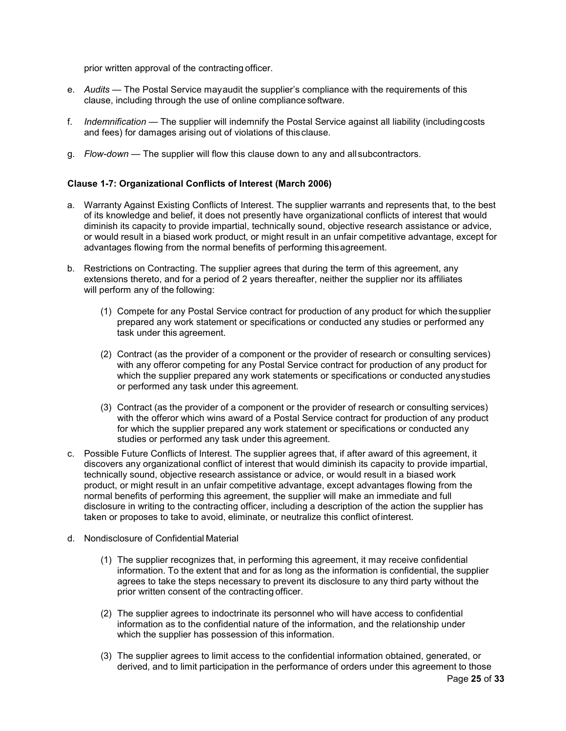prior written approval of the contracting officer.

- e. *Audits*  The Postal Service mayaudit the supplier's compliance with the requirements of this clause, including through the use of online compliance software.
- f. *Indemnification*  The supplier will indemnify the Postal Service against all liability (includingcosts and fees) for damages arising out of violations of thisclause.
- g. *Flow-down*  The supplier will flow this clause down to any and allsubcontractors.

### **Clause 1-7: Organizational Conflicts of Interest (March 2006)**

- a. Warranty Against Existing Conflicts of Interest. The supplier warrants and represents that, to the best of its knowledge and belief, it does not presently have organizational conflicts of interest that would diminish its capacity to provide impartial, technically sound, objective research assistance or advice, or would result in a biased work product, or might result in an unfair competitive advantage, except for advantages flowing from the normal benefits of performing thisagreement.
- b. Restrictions on Contracting. The supplier agrees that during the term of this agreement, any extensions thereto, and for a period of 2 years thereafter, neither the supplier nor its affiliates will perform any of the following:
	- (1) Compete for any Postal Service contract for production of any product for which thesupplier prepared any work statement or specifications or conducted any studies or performed any task under this agreement.
	- (2) Contract (as the provider of a component or the provider of research or consulting services) with any offeror competing for any Postal Service contract for production of any product for which the supplier prepared any work statements or specifications or conducted anystudies or performed any task under this agreement.
	- (3) Contract (as the provider of a component or the provider of research or consulting services) with the offeror which wins award of a Postal Service contract for production of any product for which the supplier prepared any work statement or specifications or conducted any studies or performed any task under this agreement.
- c. Possible Future Conflicts of Interest. The supplier agrees that, if after award of this agreement, it discovers any organizational conflict of interest that would diminish its capacity to provide impartial, technically sound, objective research assistance or advice, or would result in a biased work product, or might result in an unfair competitive advantage, except advantages flowing from the normal benefits of performing this agreement, the supplier will make an immediate and full disclosure in writing to the contracting officer, including a description of the action the supplier has taken or proposes to take to avoid, eliminate, or neutralize this conflict ofinterest.
- d. Nondisclosure of Confidential Material
	- (1) The supplier recognizes that, in performing this agreement, it may receive confidential information. To the extent that and for as long as the information is confidential, the supplier agrees to take the steps necessary to prevent its disclosure to any third party without the prior written consent of the contracting officer.
	- (2) The supplier agrees to indoctrinate its personnel who will have access to confidential information as to the confidential nature of the information, and the relationship under which the supplier has possession of this information.
	- (3) The supplier agrees to limit access to the confidential information obtained, generated, or derived, and to limit participation in the performance of orders under this agreement to those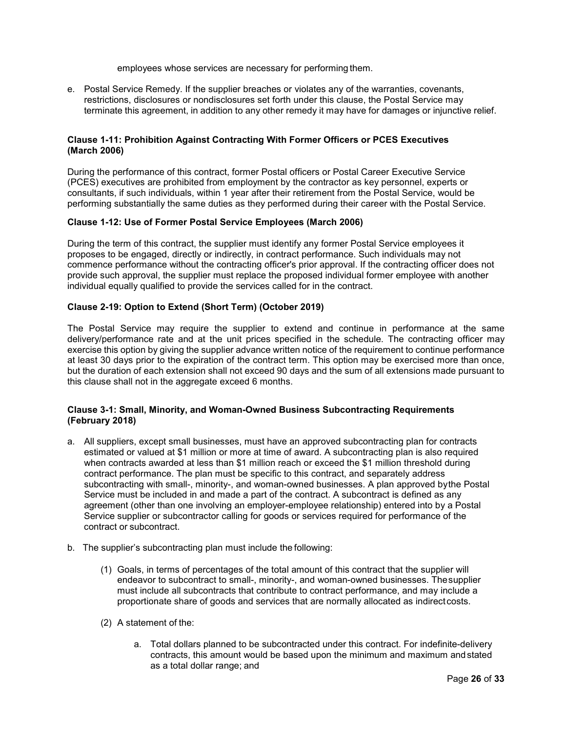employees whose services are necessary for performing them.

e. Postal Service Remedy. If the supplier breaches or violates any of the warranties, covenants, restrictions, disclosures or nondisclosures set forth under this clause, the Postal Service may terminate this agreement, in addition to any other remedy it may have for damages or injunctive relief.

### **Clause 1-11: Prohibition Against Contracting With Former Officers or PCES Executives (March 2006)**

During the performance of this contract, former Postal officers or Postal Career Executive Service (PCES) executives are prohibited from employment by the contractor as key personnel, experts or consultants, if such individuals, within 1 year after their retirement from the Postal Service, would be performing substantially the same duties as they performed during their career with the Postal Service.

#### **Clause 1-12: Use of Former Postal Service Employees (March 2006)**

During the term of this contract, the supplier must identify any former Postal Service employees it proposes to be engaged, directly or indirectly, in contract performance. Such individuals may not commence performance without the contracting officer's prior approval. If the contracting officer does not provide such approval, the supplier must replace the proposed individual former employee with another individual equally qualified to provide the services called for in the contract.

### **Clause 2-19: Option to Extend (Short Term) (October 2019)**

The Postal Service may require the supplier to extend and continue in performance at the same delivery/performance rate and at the unit prices specified in the schedule. The contracting officer may exercise this option by giving the supplier advance written notice of the requirement to continue performance at least 30 days prior to the expiration of the contract term. This option may be exercised more than once, but the duration of each extension shall not exceed 90 days and the sum of all extensions made pursuant to this clause shall not in the aggregate exceed 6 months.

### **Clause 3-1: Small, Minority, and Woman-Owned Business Subcontracting Requirements (February 2018)**

- a. All suppliers, except small businesses, must have an approved subcontracting plan for contracts estimated or valued at \$1 million or more at time of award. A subcontracting plan is also required when contracts awarded at less than \$1 million reach or exceed the \$1 million threshold during contract performance. The plan must be specific to this contract, and separately address subcontracting with small-, minority-, and woman-owned businesses. A plan approved bythe Postal Service must be included in and made a part of the contract. A subcontract is defined as any agreement (other than one involving an employer-employee relationship) entered into by a Postal Service supplier or subcontractor calling for goods or services required for performance of the contract or subcontract.
- b. The supplier's subcontracting plan must include the following:
	- (1) Goals, in terms of percentages of the total amount of this contract that the supplier will endeavor to subcontract to small-, minority-, and woman-owned businesses. Thesupplier must include all subcontracts that contribute to contract performance, and may include a proportionate share of goods and services that are normally allocated as indirectcosts.
	- (2) A statement of the:
		- a. Total dollars planned to be subcontracted under this contract. For indefinite-delivery contracts, this amount would be based upon the minimum and maximum and stated as a total dollar range; and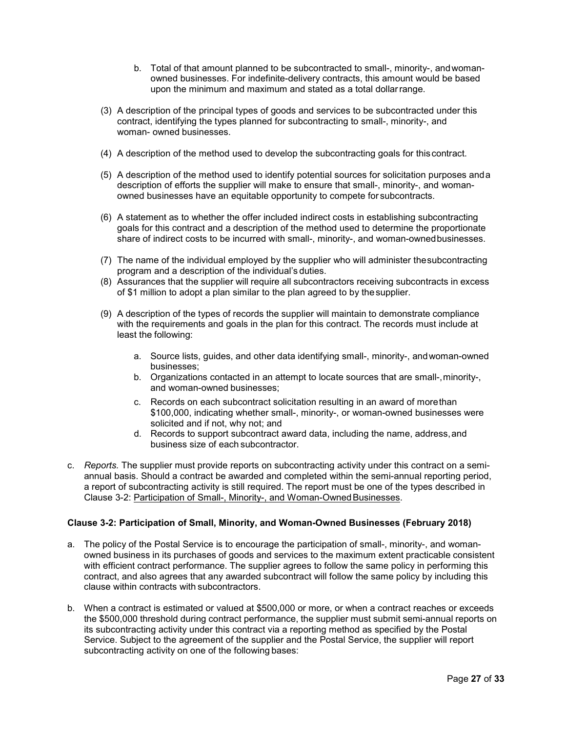- b. Total of that amount planned to be subcontracted to small-, minority-, andwomanowned businesses. For indefinite-delivery contracts, this amount would be based upon the minimum and maximum and stated as a total dollar range.
- (3) A description of the principal types of goods and services to be subcontracted under this contract, identifying the types planned for subcontracting to small-, minority-, and woman- owned businesses.
- (4) A description of the method used to develop the subcontracting goals for thiscontract.
- (5) A description of the method used to identify potential sources for solicitation purposes anda description of efforts the supplier will make to ensure that small-, minority-, and womanowned businesses have an equitable opportunity to compete for subcontracts.
- (6) A statement as to whether the offer included indirect costs in establishing subcontracting goals for this contract and a description of the method used to determine the proportionate share of indirect costs to be incurred with small-, minority-, and woman-ownedbusinesses.
- (7) The name of the individual employed by the supplier who will administer thesubcontracting program and a description of the individual's duties.
- (8) Assurances that the supplier will require all subcontractors receiving subcontracts in excess of \$1 million to adopt a plan similar to the plan agreed to by thesupplier.
- (9) A description of the types of records the supplier will maintain to demonstrate compliance with the requirements and goals in the plan for this contract. The records must include at least the following:
	- a. Source lists, guides, and other data identifying small-, minority-, andwoman-owned businesses;
	- b. Organizations contacted in an attempt to locate sources that are small-,minority-, and woman-owned businesses;
	- c. Records on each subcontract solicitation resulting in an award of morethan \$100,000, indicating whether small-, minority-, or woman-owned businesses were solicited and if not, why not; and
	- d. Records to support subcontract award data, including the name, address,and business size of each subcontractor.
- c. *Reports.* The supplier must provide reports on subcontracting activity under this contract on a semiannual basis. Should a contract be awarded and completed within the semi-annual reporting period, a report of subcontracting activity is still required. The report must be one of the types described in Clause 3-2: Participation of Small-, Minority-, and Woman-Owned Businesses.

# **Clause 3-2: Participation of Small, Minority, and Woman-Owned Businesses (February 2018)**

- a. The policy of the Postal Service is to encourage the participation of small-, minority-, and womanowned business in its purchases of goods and services to the maximum extent practicable consistent with efficient contract performance. The supplier agrees to follow the same policy in performing this contract, and also agrees that any awarded subcontract will follow the same policy by including this clause within contracts with subcontractors.
- b. When a contract is estimated or valued at \$500,000 or more, or when a contract reaches or exceeds the \$500,000 threshold during contract performance, the supplier must submit semi-annual reports on its subcontracting activity under this contract via a reporting method as specified by the Postal Service. Subject to the agreement of the supplier and the Postal Service, the supplier will report subcontracting activity on one of the following bases: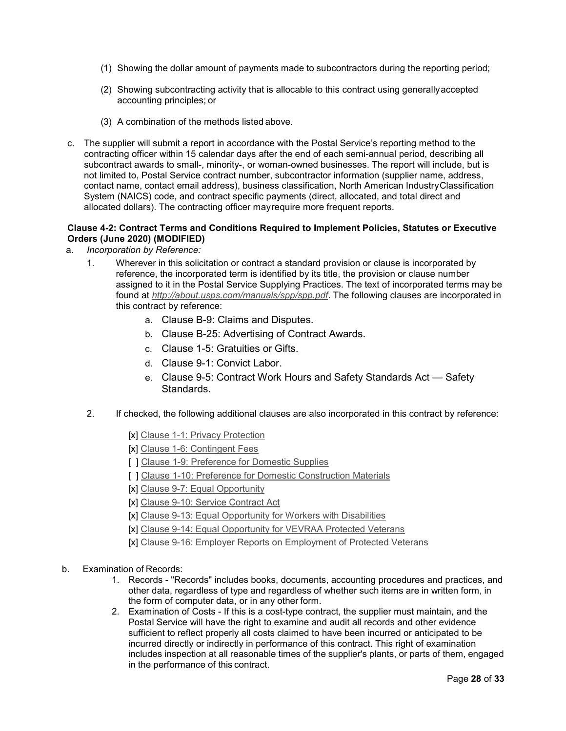- (1) Showing the dollar amount of payments made to subcontractors during the reporting period;
- (2) Showing subcontracting activity that is allocable to this contract using generallyaccepted accounting principles; or
- (3) A combination of the methods listed above.
- c. The supplier will submit a report in accordance with the Postal Service's reporting method to the contracting officer within 15 calendar days after the end of each semi-annual period, describing all subcontract awards to small-, minority-, or woman-owned businesses. The report will include, but is not limited to, Postal Service contract number, subcontractor information (supplier name, address, contact name, contact email address), business classification, North American IndustryClassification System (NAICS) code, and contract specific payments (direct, allocated, and total direct and allocated dollars). The contracting officer mayrequire more frequent reports.

# **Clause 4-2: Contract Terms and Conditions Required to Implement Policies, Statutes or Executive Orders (June 2020) (MODIFIED)**

- a. *Incorporation by Reference:*
	- 1. Wherever in this solicitation or contract a standard provision or clause is incorporated by reference, the incorporated term is identified by its title, the provision or clause number assigned to it in the Postal Service Supplying Practices. The text of incorporated terms may be found at *http://about.usps.com/manuals/spp/spp.pdf*. The following clauses are incorporated in this contract by reference:
		- a. Clause B-9: Claims and Disputes.
		- b. Clause B-25: Advertising of Contract Awards.
		- c. Clause 1-5: Gratuities or Gifts.
		- d. Clause 9-1: Convict Labor.
		- e. Clause 9-5: Contract Work Hours and Safety Standards Act Safety Standards.
	- 2. If checked, the following additional clauses are also incorporated in this contract by reference:
		- [x] Clause 1-1: Privacy Protection
		- [x] Clause 1-6: Contingent Fees
		- [ ] Clause 1-9: Preference for Domestic Supplies
		- [ ] Clause 1-10: Preference for Domestic Construction Materials
		- [x] Clause 9-7: Equal Opportunity
		- [x] Clause 9-10: Service Contract Act
		- [x] Clause 9-13: Equal Opportunity for Workers with Disabilities
		- [x] Clause 9-14: Equal Opportunity for VEVRAA Protected Veterans
		- [x] Clause 9-16: Employer Reports on Employment of Protected Veterans
- b. Examination of Records:
	- 1. Records "Records" includes books, documents, accounting procedures and practices, and other data, regardless of type and regardless of whether such items are in written form, in the form of computer data, or in any other form.
	- 2. Examination of Costs If this is a cost-type contract, the supplier must maintain, and the Postal Service will have the right to examine and audit all records and other evidence sufficient to reflect properly all costs claimed to have been incurred or anticipated to be incurred directly or indirectly in performance of this contract. This right of examination includes inspection at all reasonable times of the supplier's plants, or parts of them, engaged in the performance of this contract.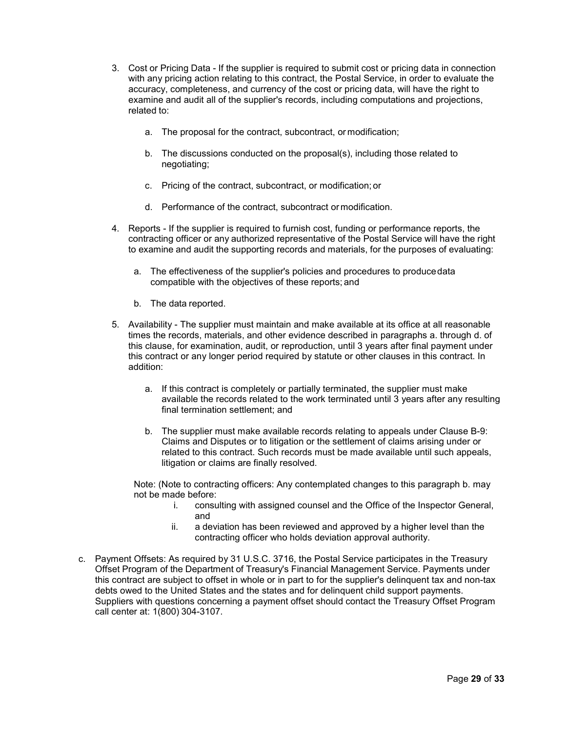- 3. Cost or Pricing Data If the supplier is required to submit cost or pricing data in connection with any pricing action relating to this contract, the Postal Service, in order to evaluate the accuracy, completeness, and currency of the cost or pricing data, will have the right to examine and audit all of the supplier's records, including computations and projections, related to:
	- a. The proposal for the contract, subcontract, or modification;
	- b. The discussions conducted on the proposal(s), including those related to negotiating;
	- c. Pricing of the contract, subcontract, or modification; or
	- d. Performance of the contract, subcontract or modification.
- 4. Reports If the supplier is required to furnish cost, funding or performance reports, the contracting officer or any authorized representative of the Postal Service will have the right to examine and audit the supporting records and materials, for the purposes of evaluating:
	- a. The effectiveness of the supplier's policies and procedures to producedata compatible with the objectives of these reports; and
	- b. The data reported.
- 5. Availability The supplier must maintain and make available at its office at all reasonable times the records, materials, and other evidence described in paragraphs a. through d. of this clause, for examination, audit, or reproduction, until 3 years after final payment under this contract or any longer period required by statute or other clauses in this contract. In addition:
	- a. If this contract is completely or partially terminated, the supplier must make available the records related to the work terminated until 3 years after any resulting final termination settlement; and
	- b. The supplier must make available records relating to appeals under Clause B-9: Claims and Disputes or to litigation or the settlement of claims arising under or related to this contract. Such records must be made available until such appeals, litigation or claims are finally resolved.

Note: (Note to contracting officers: Any contemplated changes to this paragraph b. may not be made before:

- i. consulting with assigned counsel and the Office of the Inspector General, and
- ii. a deviation has been reviewed and approved by a higher level than the contracting officer who holds deviation approval authority.
- c. Payment Offsets: As required by 31 U.S.C. 3716, the Postal Service participates in the Treasury Offset Program of the Department of Treasury's Financial Management Service. Payments under this contract are subject to offset in whole or in part to for the supplier's delinquent tax and non-tax debts owed to the United States and the states and for delinquent child support payments. Suppliers with questions concerning a payment offset should contact the Treasury Offset Program call center at: 1(800) 304-3107.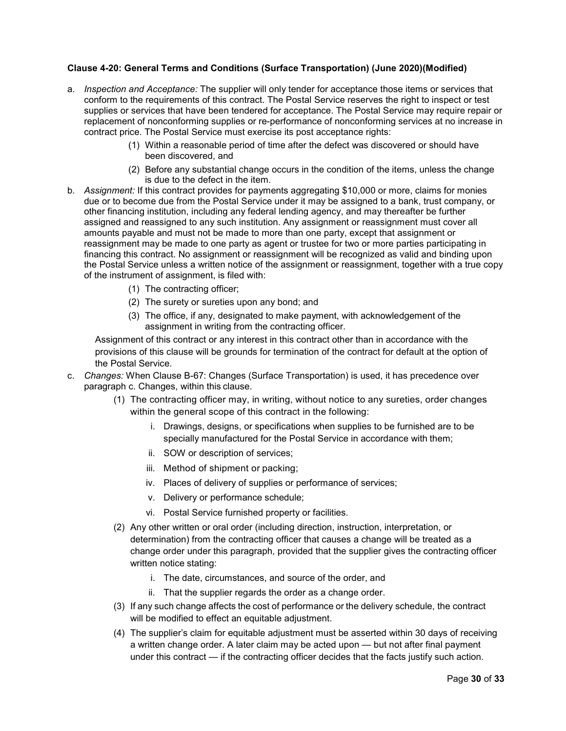# **Clause 4-20: General Terms and Conditions (Surface Transportation) (June 2020)(Modified)**

- a. *Inspection and Acceptance:* The supplier will only tender for acceptance those items or services that conform to the requirements of this contract. The Postal Service reserves the right to inspect or test supplies or services that have been tendered for acceptance. The Postal Service may require repair or replacement of nonconforming supplies or re-performance of nonconforming services at no increase in contract price. The Postal Service must exercise its post acceptance rights:
	- (1) Within a reasonable period of time after the defect was discovered or should have been discovered, and
	- (2) Before any substantial change occurs in the condition of the items, unless the change is due to the defect in the item.
- b. *Assignment:* If this contract provides for payments aggregating \$10,000 or more, claims for monies due or to become due from the Postal Service under it may be assigned to a bank, trust company, or other financing institution, including any federal lending agency, and may thereafter be further assigned and reassigned to any such institution. Any assignment or reassignment must cover all amounts payable and must not be made to more than one party, except that assignment or reassignment may be made to one party as agent or trustee for two or more parties participating in financing this contract. No assignment or reassignment will be recognized as valid and binding upon the Postal Service unless a written notice of the assignment or reassignment, together with a true copy of the instrument of assignment, is filed with:
	- (1) The contracting officer;
	- (2) The surety or sureties upon any bond; and
	- (3) The office, if any, designated to make payment, with acknowledgement of the assignment in writing from the contracting officer.

Assignment of this contract or any interest in this contract other than in accordance with the provisions of this clause will be grounds for termination of the contract for default at the option of the Postal Service.

- c. *Changes:* When Clause B-67: Changes (Surface Transportation) is used, it has precedence over paragraph c. Changes, within this clause.
	- (1) The contracting officer may, in writing, without notice to any sureties, order changes within the general scope of this contract in the following:
		- i. Drawings, designs, or specifications when supplies to be furnished are to be specially manufactured for the Postal Service in accordance with them;
		- ii. SOW or description of services;
		- iii. Method of shipment or packing;
		- iv. Places of delivery of supplies or performance of services;
		- v. Delivery or performance schedule;
		- vi. Postal Service furnished property or facilities.
	- (2) Any other written or oral order (including direction, instruction, interpretation, or determination) from the contracting officer that causes a change will be treated as a change order under this paragraph, provided that the supplier gives the contracting officer written notice stating:
		- i. The date, circumstances, and source of the order, and
		- ii. That the supplier regards the order as a change order.
	- (3) If any such change affects the cost of performance or the delivery schedule, the contract will be modified to effect an equitable adjustment.
	- (4) The supplier's claim for equitable adjustment must be asserted within 30 days of receiving a written change order. A later claim may be acted upon — but not after final payment under this contract — if the contracting officer decides that the facts justify such action.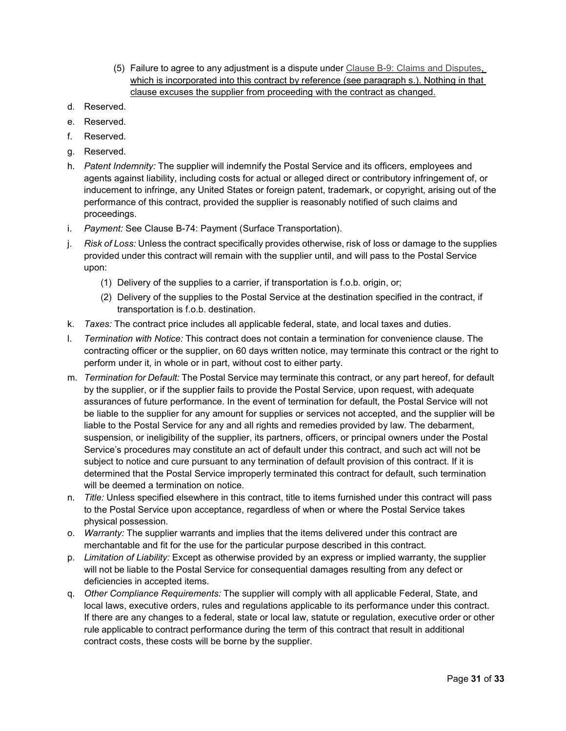- (5) Failure to agree to any adjustment is a dispute under Clause B-9: Claims and Disputes, which is incorporated into this contract by reference (see paragraph s.). Nothing in that clause excuses the supplier from proceeding with the contract as changed.
- d. Reserved.
- e. Reserved.
- f. Reserved.
- g. Reserved.
- h. *Patent Indemnity:* The supplier will indemnify the Postal Service and its officers, employees and agents against liability, including costs for actual or alleged direct or contributory infringement of, or inducement to infringe, any United States or foreign patent, trademark, or copyright, arising out of the performance of this contract, provided the supplier is reasonably notified of such claims and proceedings.
- i. *Payment:* See Clause B-74: Payment (Surface Transportation).
- j. *Risk of Loss:* Unless the contract specifically provides otherwise, risk of loss or damage to the supplies provided under this contract will remain with the supplier until, and will pass to the Postal Service upon:
	- (1) Delivery of the supplies to a carrier, if transportation is f.o.b. origin, or;
	- (2) Delivery of the supplies to the Postal Service at the destination specified in the contract, if transportation is f.o.b. destination.
- k. *Taxes:* The contract price includes all applicable federal, state, and local taxes and duties.
- l. *Termination with Notice:* This contract does not contain a termination for convenience clause. The contracting officer or the supplier, on 60 days written notice, may terminate this contract or the right to perform under it, in whole or in part, without cost to either party.
- m. *Termination for Default:* The Postal Service may terminate this contract, or any part hereof, for default by the supplier, or if the supplier fails to provide the Postal Service, upon request, with adequate assurances of future performance. In the event of termination for default, the Postal Service will not be liable to the supplier for any amount for supplies or services not accepted, and the supplier will be liable to the Postal Service for any and all rights and remedies provided by law. The debarment, suspension, or ineligibility of the supplier, its partners, officers, or principal owners under the Postal Service's procedures may constitute an act of default under this contract, and such act will not be subject to notice and cure pursuant to any termination of default provision of this contract. If it is determined that the Postal Service improperly terminated this contract for default, such termination will be deemed a termination on notice.
- n. *Title:* Unless specified elsewhere in this contract, title to items furnished under this contract will pass to the Postal Service upon acceptance, regardless of when or where the Postal Service takes physical possession.
- o. *Warranty:* The supplier warrants and implies that the items delivered under this contract are merchantable and fit for the use for the particular purpose described in this contract.
- p. *Limitation of Liability:* Except as otherwise provided by an express or implied warranty, the supplier will not be liable to the Postal Service for consequential damages resulting from any defect or deficiencies in accepted items.
- q. *Other Compliance Requirements:* The supplier will comply with all applicable Federal, State, and local laws, executive orders, rules and regulations applicable to its performance under this contract. If there are any changes to a federal, state or local law, statute or regulation, executive order or other rule applicable to contract performance during the term of this contract that result in additional contract costs, these costs will be borne by the supplier.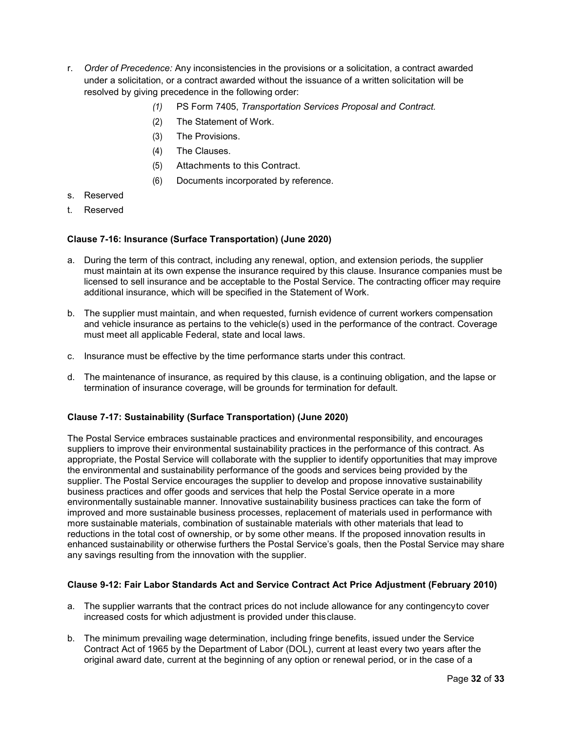- r. *Order of Precedence:* Any inconsistencies in the provisions or a solicitation, a contract awarded under a solicitation, or a contract awarded without the issuance of a written solicitation will be resolved by giving precedence in the following order:
	- *(1)* PS Form 7405, *Transportation Services Proposal and Contract.*
	- (2) The Statement of Work.
	- (3) The Provisions.
	- (4) The Clauses.
	- (5) Attachments to this Contract.
	- (6) Documents incorporated by reference.
- s. Reserved
- t. Reserved

### **Clause 7-16: Insurance (Surface Transportation) (June 2020)**

- a. During the term of this contract, including any renewal, option, and extension periods, the supplier must maintain at its own expense the insurance required by this clause. Insurance companies must be licensed to sell insurance and be acceptable to the Postal Service. The contracting officer may require additional insurance, which will be specified in the Statement of Work.
- b. The supplier must maintain, and when requested, furnish evidence of current workers compensation and vehicle insurance as pertains to the vehicle(s) used in the performance of the contract. Coverage must meet all applicable Federal, state and local laws.
- c. Insurance must be effective by the time performance starts under this contract.
- d. The maintenance of insurance, as required by this clause, is a continuing obligation, and the lapse or termination of insurance coverage, will be grounds for termination for default.

### **Clause 7-17: Sustainability (Surface Transportation) (June 2020)**

The Postal Service embraces sustainable practices and environmental responsibility, and encourages suppliers to improve their environmental sustainability practices in the performance of this contract. As appropriate, the Postal Service will collaborate with the supplier to identify opportunities that may improve the environmental and sustainability performance of the goods and services being provided by the supplier. The Postal Service encourages the supplier to develop and propose innovative sustainability business practices and offer goods and services that help the Postal Service operate in a more environmentally sustainable manner. Innovative sustainability business practices can take the form of improved and more sustainable business processes, replacement of materials used in performance with more sustainable materials, combination of sustainable materials with other materials that lead to reductions in the total cost of ownership, or by some other means. If the proposed innovation results in enhanced sustainability or otherwise furthers the Postal Service's goals, then the Postal Service may share any savings resulting from the innovation with the supplier.

### **Clause 9-12: Fair Labor Standards Act and Service Contract Act Price Adjustment (February 2010)**

- a. The supplier warrants that the contract prices do not include allowance for any contingencyto cover increased costs for which adjustment is provided under thisclause.
- b. The minimum prevailing wage determination, including fringe benefits, issued under the Service Contract Act of 1965 by the Department of Labor (DOL), current at least every two years after the original award date, current at the beginning of any option or renewal period, or in the case of a